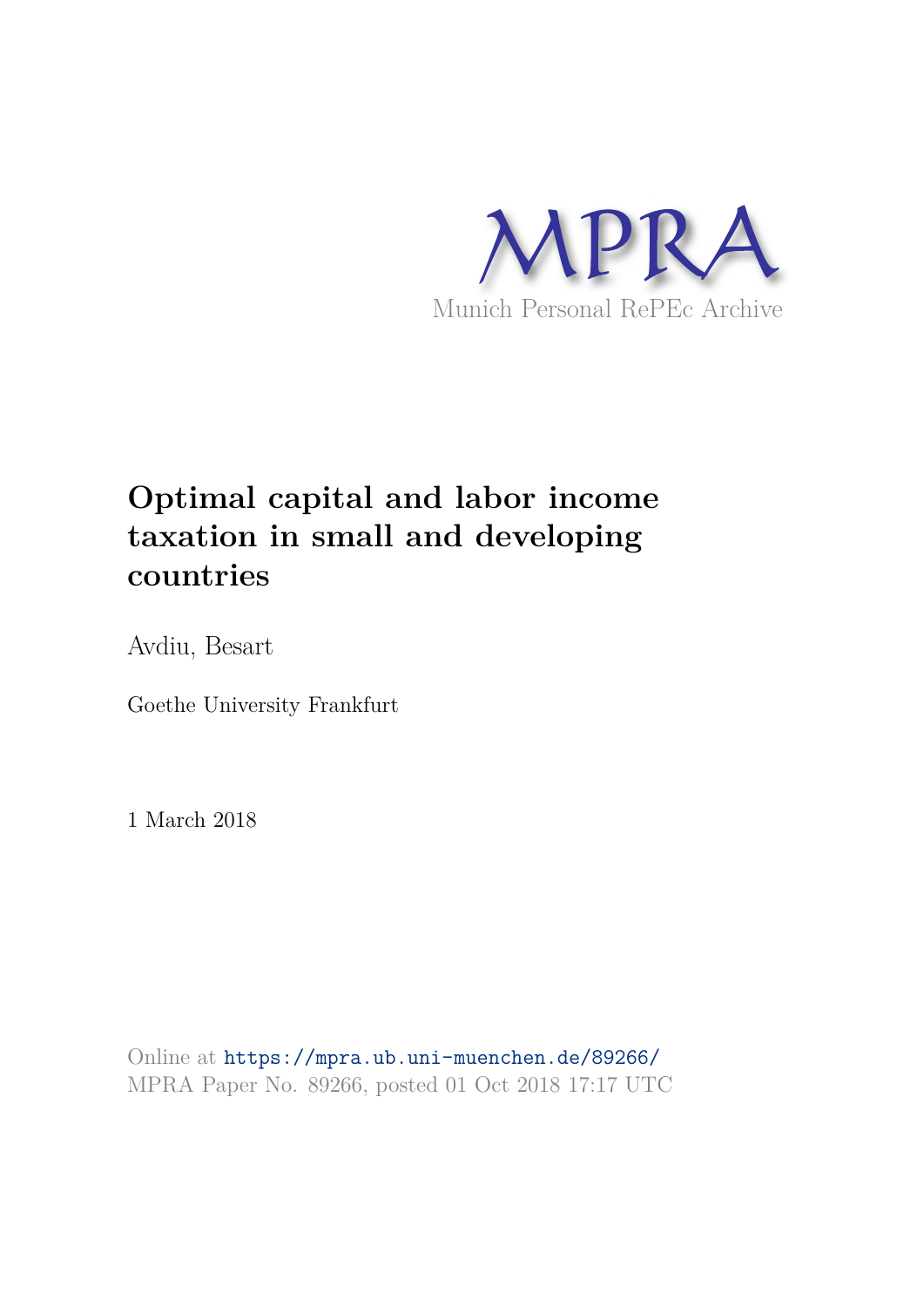

## **Optimal capital and labor income taxation in small and developing countries**

Avdiu, Besart

Goethe University Frankfurt

1 March 2018

Online at https://mpra.ub.uni-muenchen.de/89266/ MPRA Paper No. 89266, posted 01 Oct 2018 17:17 UTC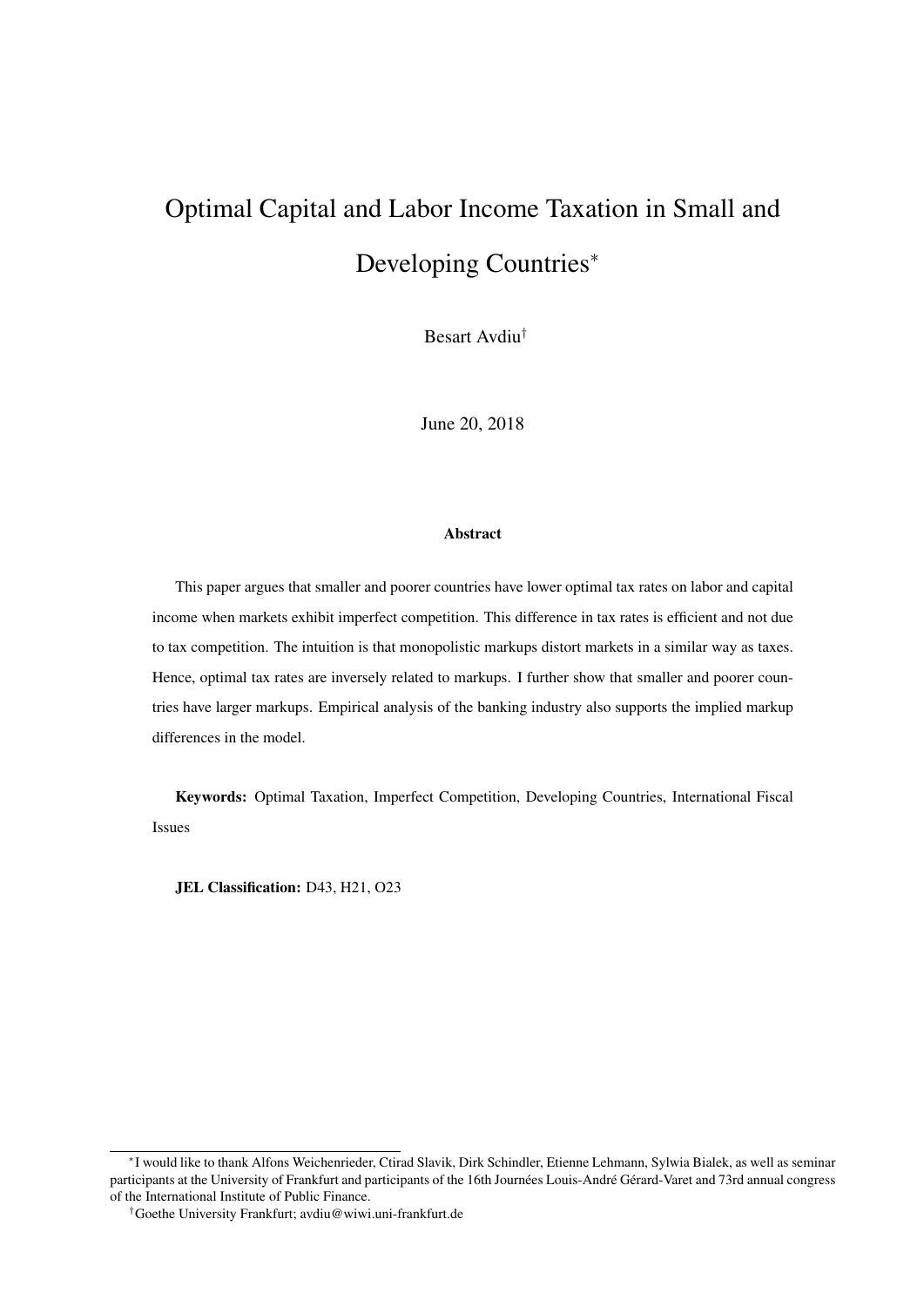# Optimal Capital and Labor Income Taxation in Small and Developing Countries<sup>∗</sup>

Besart Avdiu†

June 20, 2018

#### Abstract

This paper argues that smaller and poorer countries have lower optimal tax rates on labor and capital income when markets exhibit imperfect competition. This difference in tax rates is efficient and not due to tax competition. The intuition is that monopolistic markups distort markets in a similar way as taxes. Hence, optimal tax rates are inversely related to markups. I further show that smaller and poorer countries have larger markups. Empirical analysis of the banking industry also supports the implied markup differences in the model.

Keywords: Optimal Taxation, Imperfect Competition, Developing Countries, International Fiscal Issues

JEL Classification: D43, H21, O23

<sup>∗</sup> I would like to thank Alfons Weichenrieder, Ctirad Slavik, Dirk Schindler, Etienne Lehmann, Sylwia Bialek, as well as seminar participants at the University of Frankfurt and participants of the 16th Journées Louis-André Gérard-Varet and 73rd annual congress of the International Institute of Public Finance.

<sup>†</sup>Goethe University Frankfurt; avdiu@wiwi.uni-frankfurt.de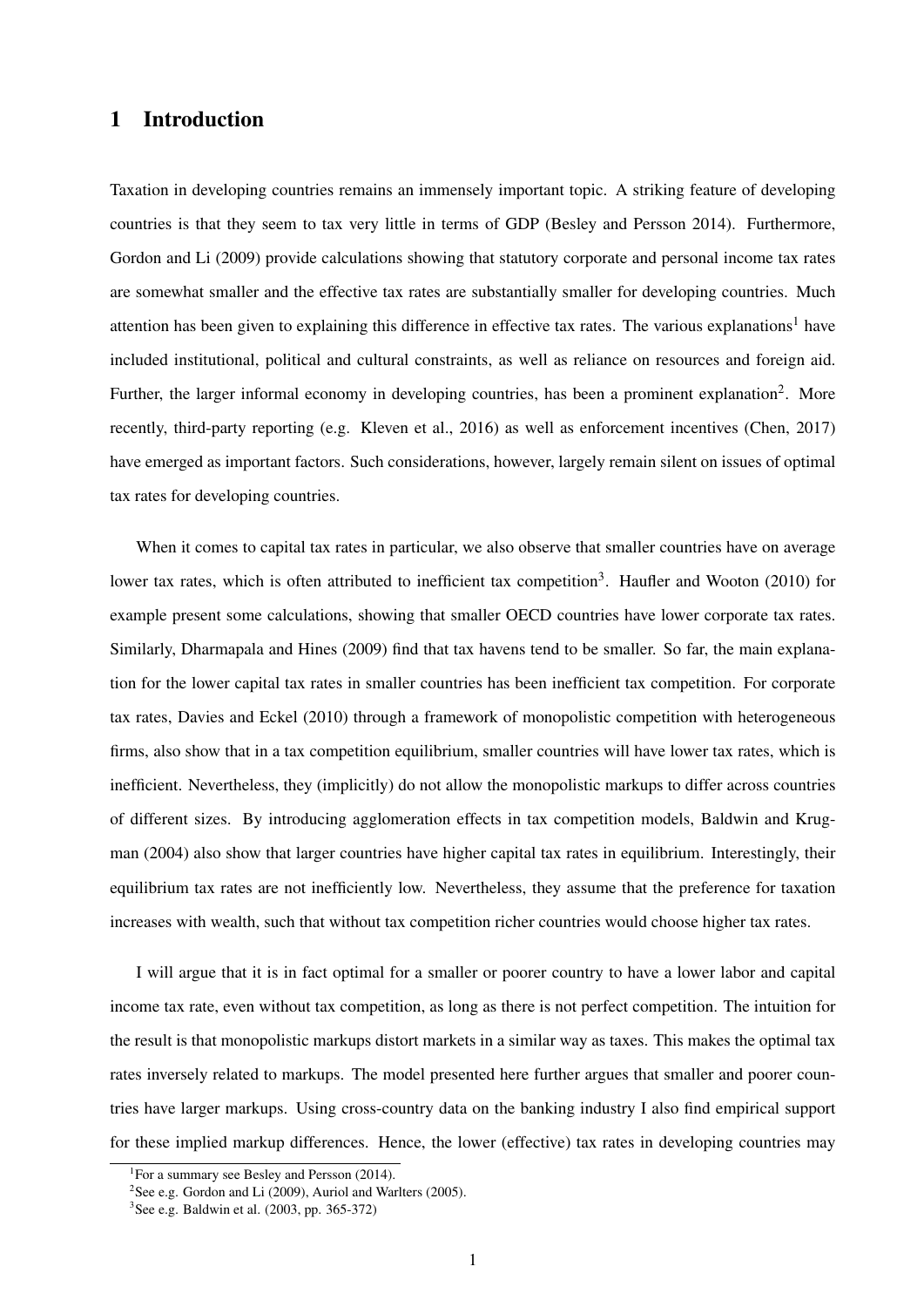## 1 Introduction

Taxation in developing countries remains an immensely important topic. A striking feature of developing countries is that they seem to tax very little in terms of GDP (Besley and Persson 2014). Furthermore, Gordon and Li (2009) provide calculations showing that statutory corporate and personal income tax rates are somewhat smaller and the effective tax rates are substantially smaller for developing countries. Much attention has been given to explaining this difference in effective tax rates. The various explanations<sup>1</sup> have included institutional, political and cultural constraints, as well as reliance on resources and foreign aid. Further, the larger informal economy in developing countries, has been a prominent explanation<sup>2</sup>. More recently, third-party reporting (e.g. Kleven et al., 2016) as well as enforcement incentives (Chen, 2017) have emerged as important factors. Such considerations, however, largely remain silent on issues of optimal tax rates for developing countries.

When it comes to capital tax rates in particular, we also observe that smaller countries have on average lower tax rates, which is often attributed to inefficient tax competition<sup>3</sup>. Haufler and Wooton (2010) for example present some calculations, showing that smaller OECD countries have lower corporate tax rates. Similarly, Dharmapala and Hines (2009) find that tax havens tend to be smaller. So far, the main explanation for the lower capital tax rates in smaller countries has been inefficient tax competition. For corporate tax rates, Davies and Eckel (2010) through a framework of monopolistic competition with heterogeneous firms, also show that in a tax competition equilibrium, smaller countries will have lower tax rates, which is inefficient. Nevertheless, they (implicitly) do not allow the monopolistic markups to differ across countries of different sizes. By introducing agglomeration effects in tax competition models, Baldwin and Krugman (2004) also show that larger countries have higher capital tax rates in equilibrium. Interestingly, their equilibrium tax rates are not inefficiently low. Nevertheless, they assume that the preference for taxation increases with wealth, such that without tax competition richer countries would choose higher tax rates.

I will argue that it is in fact optimal for a smaller or poorer country to have a lower labor and capital income tax rate, even without tax competition, as long as there is not perfect competition. The intuition for the result is that monopolistic markups distort markets in a similar way as taxes. This makes the optimal tax rates inversely related to markups. The model presented here further argues that smaller and poorer countries have larger markups. Using cross-country data on the banking industry I also find empirical support for these implied markup differences. Hence, the lower (effective) tax rates in developing countries may

<sup>1</sup> For a summary see Besley and Persson (2014).

<sup>&</sup>lt;sup>2</sup>See e.g. Gordon and Li (2009), Auriol and Warlters (2005).

<sup>3</sup> See e.g. Baldwin et al. (2003, pp. 365-372)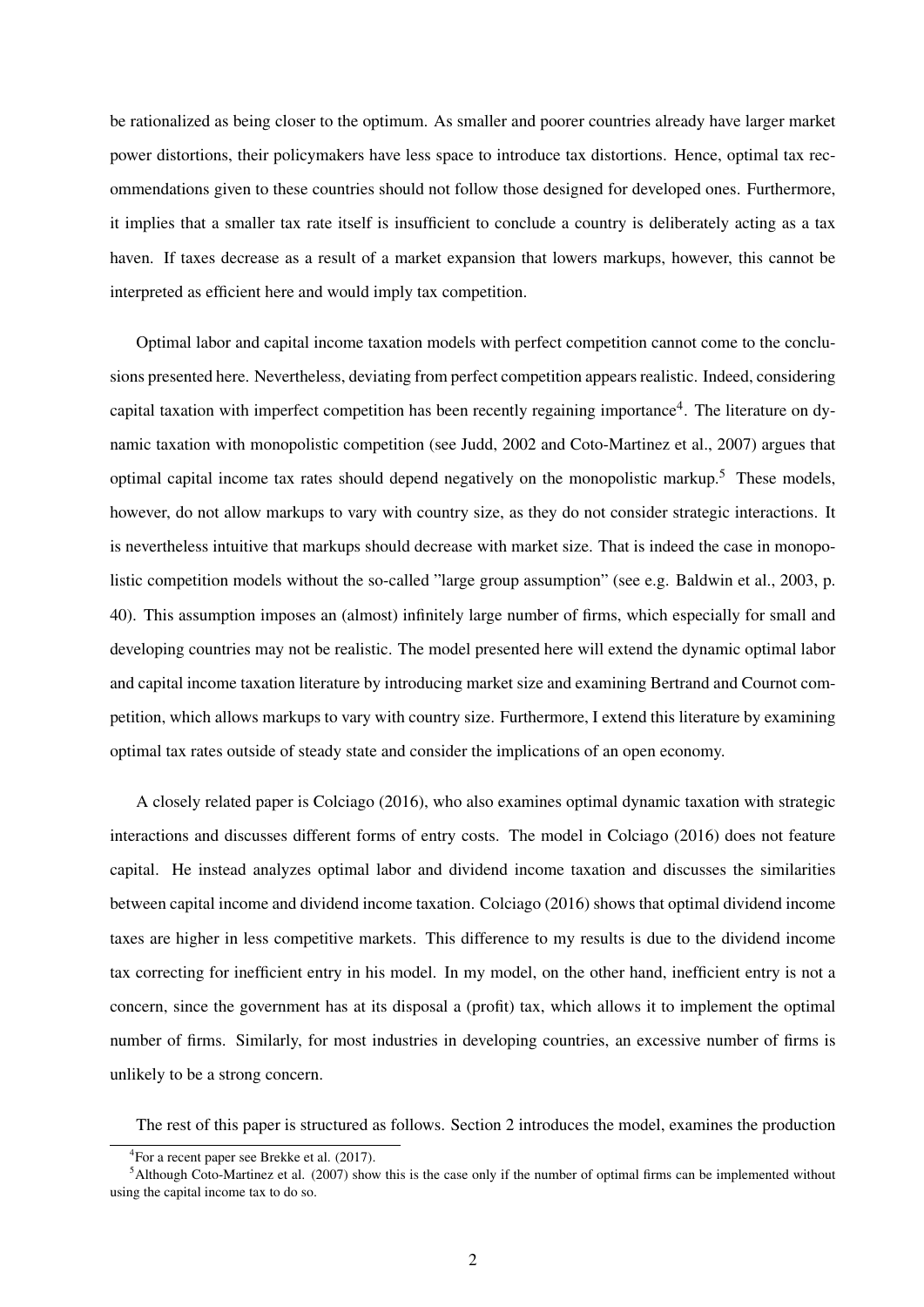be rationalized as being closer to the optimum. As smaller and poorer countries already have larger market power distortions, their policymakers have less space to introduce tax distortions. Hence, optimal tax recommendations given to these countries should not follow those designed for developed ones. Furthermore, it implies that a smaller tax rate itself is insufficient to conclude a country is deliberately acting as a tax haven. If taxes decrease as a result of a market expansion that lowers markups, however, this cannot be interpreted as efficient here and would imply tax competition.

Optimal labor and capital income taxation models with perfect competition cannot come to the conclusions presented here. Nevertheless, deviating from perfect competition appears realistic. Indeed, considering capital taxation with imperfect competition has been recently regaining importance<sup>4</sup>. The literature on dynamic taxation with monopolistic competition (see Judd, 2002 and Coto-Martinez et al., 2007) argues that optimal capital income tax rates should depend negatively on the monopolistic markup.<sup>5</sup> These models, however, do not allow markups to vary with country size, as they do not consider strategic interactions. It is nevertheless intuitive that markups should decrease with market size. That is indeed the case in monopolistic competition models without the so-called "large group assumption" (see e.g. Baldwin et al., 2003, p. 40). This assumption imposes an (almost) infinitely large number of firms, which especially for small and developing countries may not be realistic. The model presented here will extend the dynamic optimal labor and capital income taxation literature by introducing market size and examining Bertrand and Cournot competition, which allows markups to vary with country size. Furthermore, I extend this literature by examining optimal tax rates outside of steady state and consider the implications of an open economy.

A closely related paper is Colciago (2016), who also examines optimal dynamic taxation with strategic interactions and discusses different forms of entry costs. The model in Colciago (2016) does not feature capital. He instead analyzes optimal labor and dividend income taxation and discusses the similarities between capital income and dividend income taxation. Colciago (2016) shows that optimal dividend income taxes are higher in less competitive markets. This difference to my results is due to the dividend income tax correcting for inefficient entry in his model. In my model, on the other hand, inefficient entry is not a concern, since the government has at its disposal a (profit) tax, which allows it to implement the optimal number of firms. Similarly, for most industries in developing countries, an excessive number of firms is unlikely to be a strong concern.

The rest of this paper is structured as follows. Section 2 introduces the model, examines the production

<sup>4</sup> For a recent paper see Brekke et al. (2017).

 $5$ Although Coto-Martinez et al. (2007) show this is the case only if the number of optimal firms can be implemented without using the capital income tax to do so.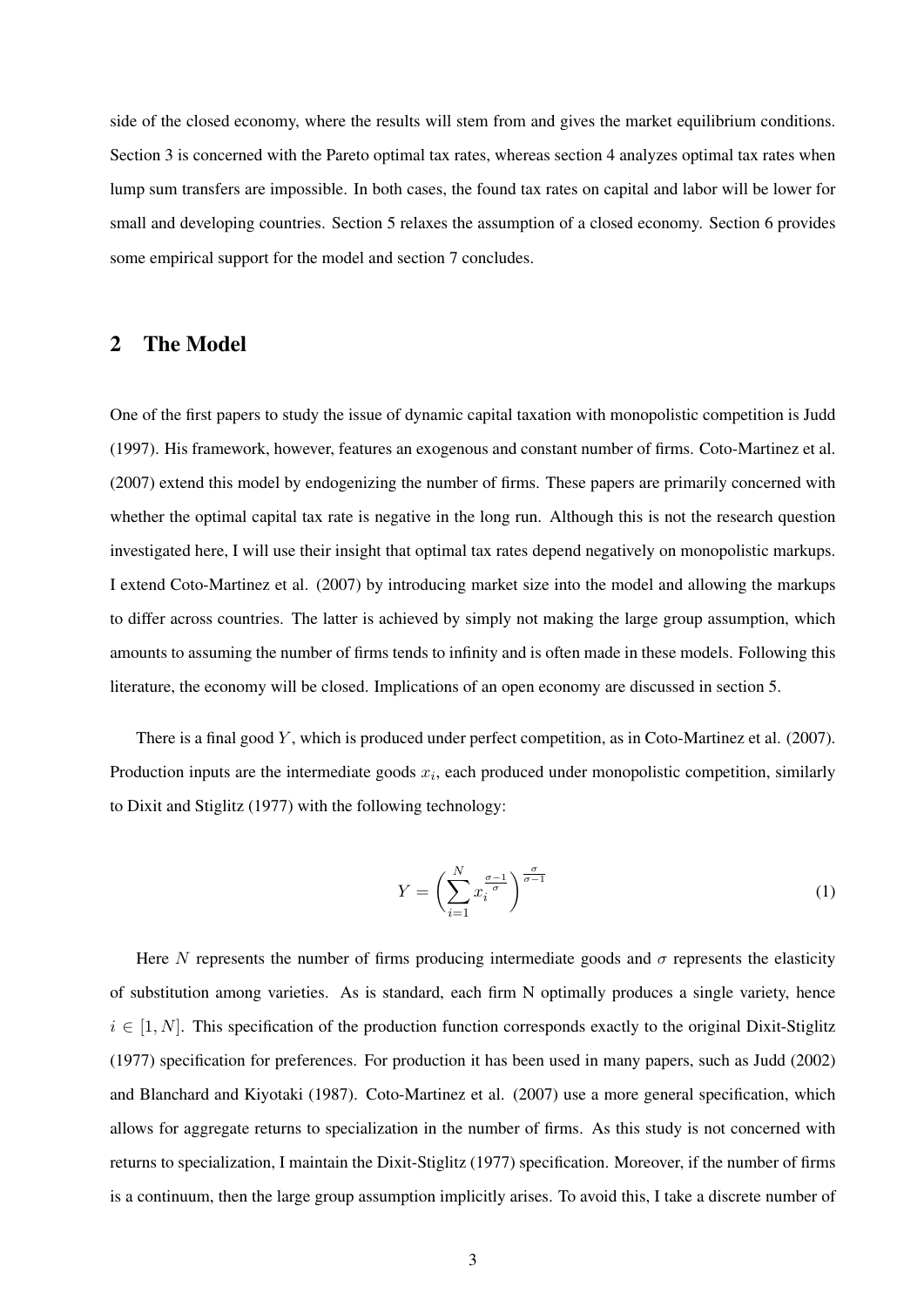side of the closed economy, where the results will stem from and gives the market equilibrium conditions. Section 3 is concerned with the Pareto optimal tax rates, whereas section 4 analyzes optimal tax rates when lump sum transfers are impossible. In both cases, the found tax rates on capital and labor will be lower for small and developing countries. Section 5 relaxes the assumption of a closed economy. Section 6 provides some empirical support for the model and section 7 concludes.

#### 2 The Model

One of the first papers to study the issue of dynamic capital taxation with monopolistic competition is Judd (1997). His framework, however, features an exogenous and constant number of firms. Coto-Martinez et al. (2007) extend this model by endogenizing the number of firms. These papers are primarily concerned with whether the optimal capital tax rate is negative in the long run. Although this is not the research question investigated here, I will use their insight that optimal tax rates depend negatively on monopolistic markups. I extend Coto-Martinez et al. (2007) by introducing market size into the model and allowing the markups to differ across countries. The latter is achieved by simply not making the large group assumption, which amounts to assuming the number of firms tends to infinity and is often made in these models. Following this literature, the economy will be closed. Implications of an open economy are discussed in section 5.

There is a final good Y, which is produced under perfect competition, as in Coto-Martinez et al. (2007). Production inputs are the intermediate goods  $x_i$ , each produced under monopolistic competition, similarly to Dixit and Stiglitz (1977) with the following technology:

$$
Y = \left(\sum_{i=1}^{N} x_i^{\frac{\sigma-1}{\sigma}}\right)^{\frac{\sigma}{\sigma-1}}
$$
 (1)

Here N represents the number of firms producing intermediate goods and  $\sigma$  represents the elasticity of substitution among varieties. As is standard, each firm N optimally produces a single variety, hence  $i \in [1, N]$ . This specification of the production function corresponds exactly to the original Dixit-Stiglitz (1977) specification for preferences. For production it has been used in many papers, such as Judd (2002) and Blanchard and Kiyotaki (1987). Coto-Martinez et al. (2007) use a more general specification, which allows for aggregate returns to specialization in the number of firms. As this study is not concerned with returns to specialization, I maintain the Dixit-Stiglitz (1977) specification. Moreover, if the number of firms is a continuum, then the large group assumption implicitly arises. To avoid this, I take a discrete number of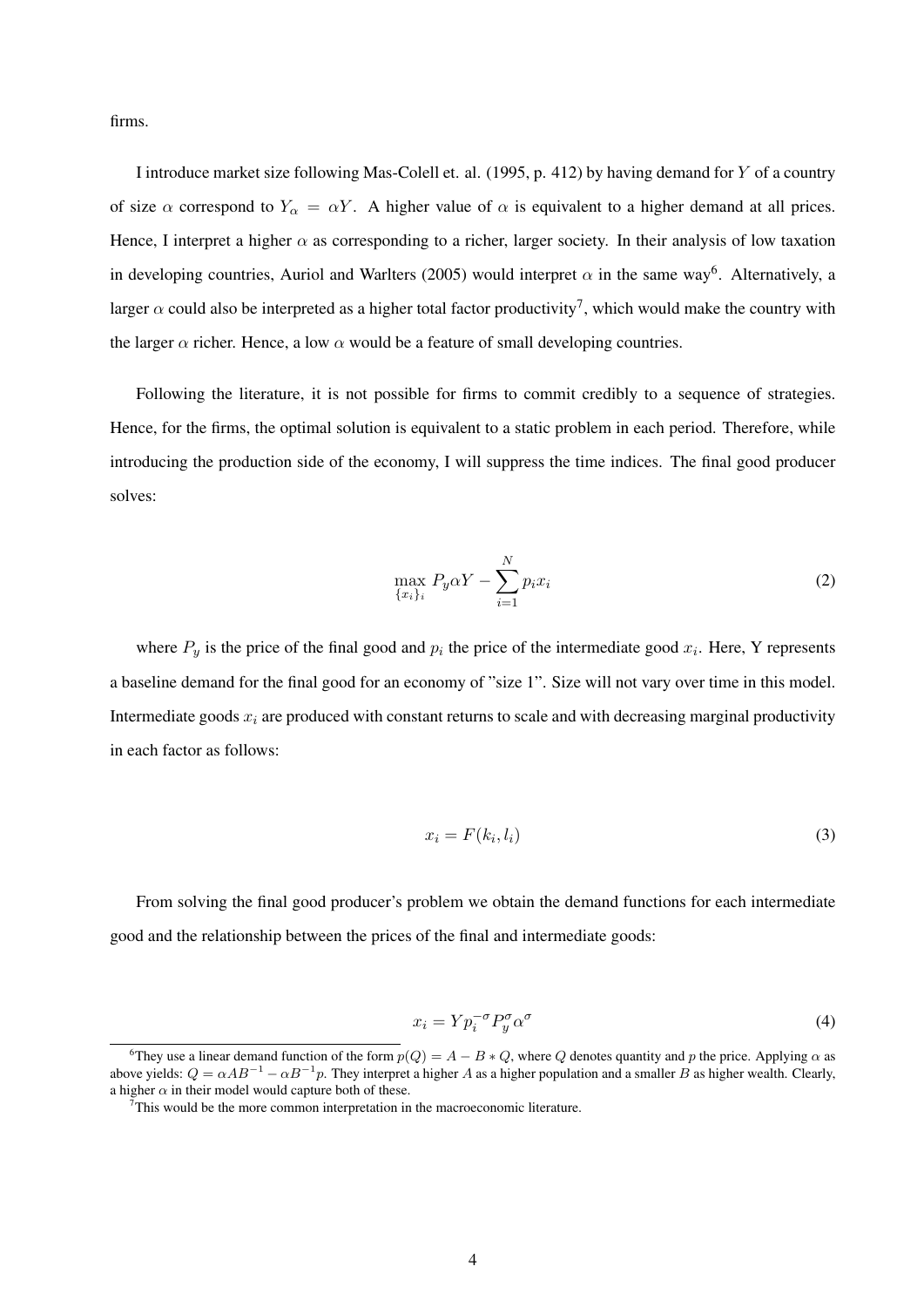firms.

I introduce market size following Mas-Colell et. al. (1995, p. 412) by having demand for Y of a country of size  $\alpha$  correspond to  $Y_{\alpha} = \alpha Y$ . A higher value of  $\alpha$  is equivalent to a higher demand at all prices. Hence, I interpret a higher  $\alpha$  as corresponding to a richer, larger society. In their analysis of low taxation in developing countries, Auriol and Warlters (2005) would interpret  $\alpha$  in the same way<sup>6</sup>. Alternatively, a larger  $\alpha$  could also be interpreted as a higher total factor productivity<sup>7</sup>, which would make the country with the larger  $\alpha$  richer. Hence, a low  $\alpha$  would be a feature of small developing countries.

Following the literature, it is not possible for firms to commit credibly to a sequence of strategies. Hence, for the firms, the optimal solution is equivalent to a static problem in each period. Therefore, while introducing the production side of the economy, I will suppress the time indices. The final good producer solves:

$$
\max_{\{x_i\}_i} P_y \alpha Y - \sum_{i=1}^N p_i x_i \tag{2}
$$

where  $P_y$  is the price of the final good and  $p_i$  the price of the intermediate good  $x_i$ . Here, Y represents a baseline demand for the final good for an economy of "size 1". Size will not vary over time in this model. Intermediate goods  $x_i$  are produced with constant returns to scale and with decreasing marginal productivity in each factor as follows:

$$
x_i = F(k_i, l_i) \tag{3}
$$

From solving the final good producer's problem we obtain the demand functions for each intermediate good and the relationship between the prices of the final and intermediate goods:

$$
x_i = Y p_i^{-\sigma} P_y^{\sigma} \alpha^{\sigma} \tag{4}
$$

<sup>&</sup>lt;sup>6</sup>They use a linear demand function of the form  $p(Q) = A - B * Q$ , where Q denotes quantity and p the price. Applying  $\alpha$  as above yields:  $Q = \alpha AB^{-1} - \alpha B^{-1}p$ . They interpret a higher A as a higher population and a smaller B as higher wealth. Clearly, a higher  $\alpha$  in their model would capture both of these.

This would be the more common interpretation in the macroeconomic literature.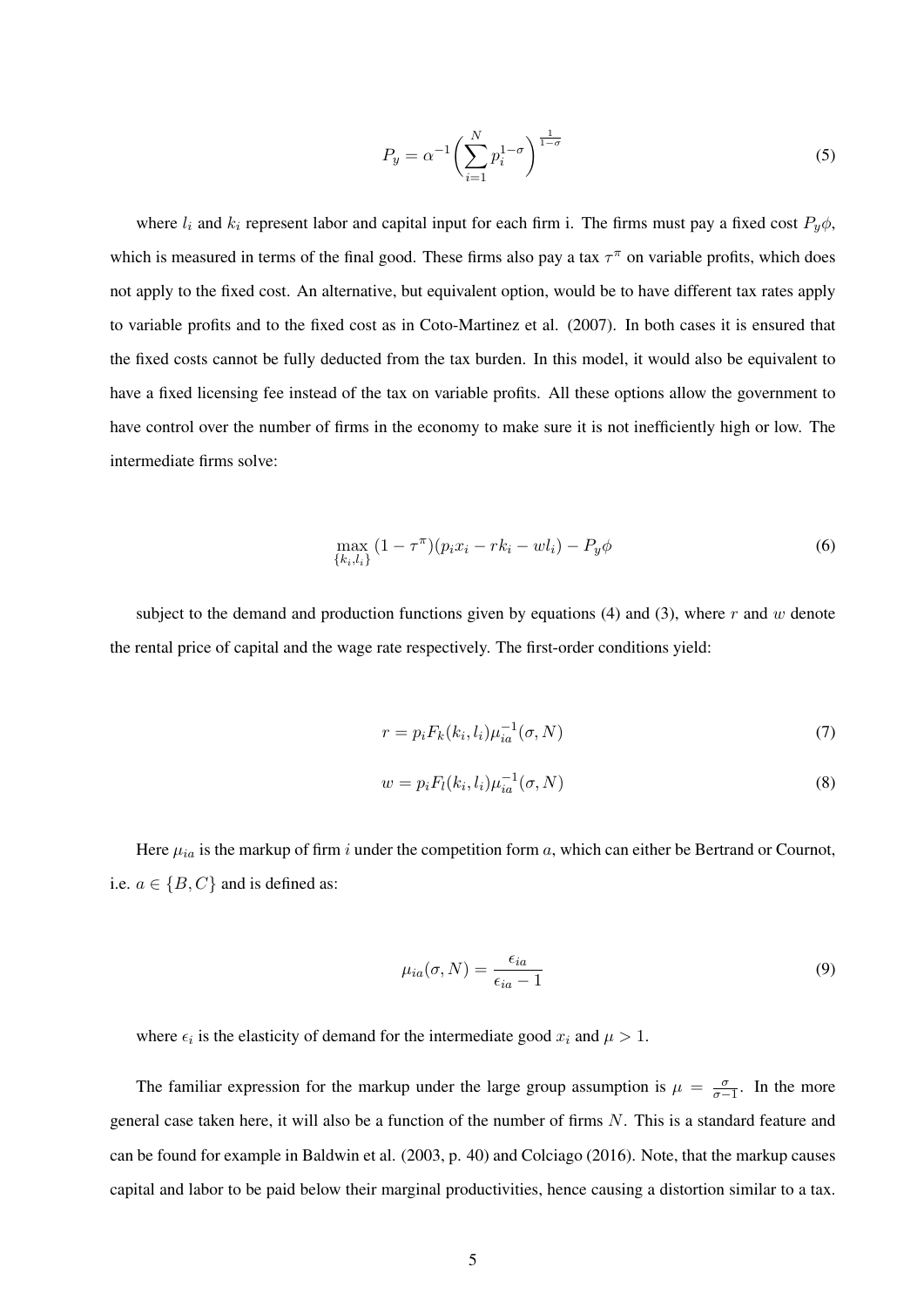$$
P_y = \alpha^{-1} \left( \sum_{i=1}^N p_i^{1-\sigma} \right)^{\frac{1}{1-\sigma}}
$$
\n
$$
(5)
$$

where  $l_i$  and  $k_i$  represent labor and capital input for each firm i. The firms must pay a fixed cost  $P_y\phi$ , which is measured in terms of the final good. These firms also pay a tax  $\tau^{\pi}$  on variable profits, which does not apply to the fixed cost. An alternative, but equivalent option, would be to have different tax rates apply to variable profits and to the fixed cost as in Coto-Martinez et al. (2007). In both cases it is ensured that the fixed costs cannot be fully deducted from the tax burden. In this model, it would also be equivalent to have a fixed licensing fee instead of the tax on variable profits. All these options allow the government to have control over the number of firms in the economy to make sure it is not inefficiently high or low. The intermediate firms solve:

$$
\max_{\{k_i, l_i\}} (1 - \tau^{\pi})(p_i x_i - r k_i - w l_i) - P_y \phi \tag{6}
$$

subject to the demand and production functions given by equations  $(4)$  and  $(3)$ , where r and w denote the rental price of capital and the wage rate respectively. The first-order conditions yield:

$$
r = p_i F_k(k_i, l_i) \mu_{ia}^{-1}(\sigma, N) \tag{7}
$$

$$
w = p_i F_l(k_i, l_i) \mu_{ia}^{-1}(\sigma, N)
$$
\n(8)

Here  $\mu_{ia}$  is the markup of firm i under the competition form a, which can either be Bertrand or Cournot, i.e.  $a \in \{B, C\}$  and is defined as:

$$
\mu_{ia}(\sigma, N) = \frac{\epsilon_{ia}}{\epsilon_{ia} - 1} \tag{9}
$$

where  $\epsilon_i$  is the elasticity of demand for the intermediate good  $x_i$  and  $\mu > 1$ .

The familiar expression for the markup under the large group assumption is  $\mu = \frac{\sigma}{\sigma}$  $\frac{\sigma}{\sigma-1}$ . In the more general case taken here, it will also be a function of the number of firms  $N$ . This is a standard feature and can be found for example in Baldwin et al. (2003, p. 40) and Colciago (2016). Note, that the markup causes capital and labor to be paid below their marginal productivities, hence causing a distortion similar to a tax.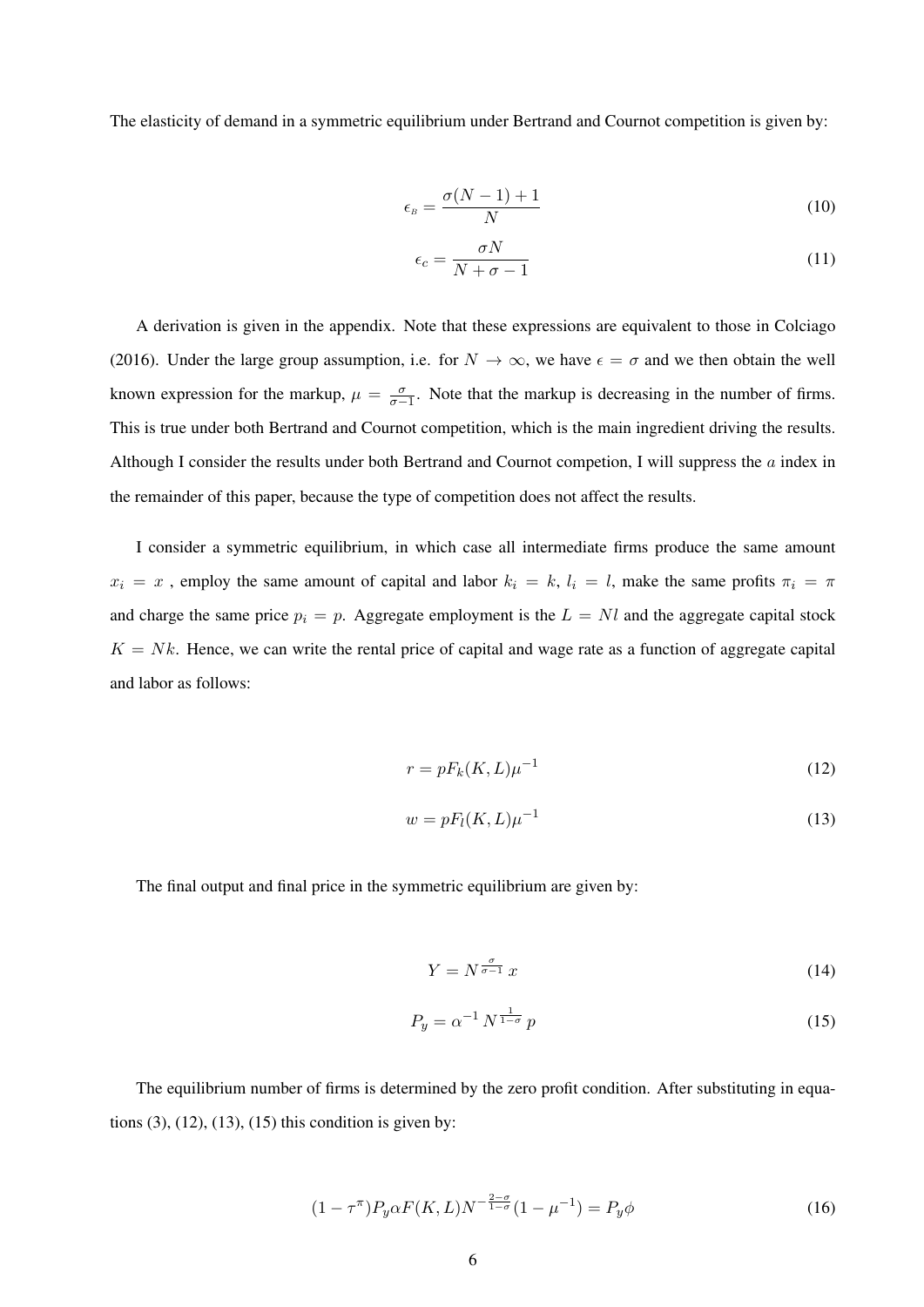The elasticity of demand in a symmetric equilibrium under Bertrand and Cournot competition is given by:

$$
\epsilon_{B} = \frac{\sigma(N-1) + 1}{N} \tag{10}
$$

$$
\epsilon_c = \frac{\sigma N}{N + \sigma - 1} \tag{11}
$$

A derivation is given in the appendix. Note that these expressions are equivalent to those in Colciago (2016). Under the large group assumption, i.e. for  $N \to \infty$ , we have  $\epsilon = \sigma$  and we then obtain the well known expression for the markup,  $\mu = \frac{\sigma}{\sigma}$  $\frac{\sigma}{\sigma-1}$ . Note that the markup is decreasing in the number of firms. This is true under both Bertrand and Cournot competition, which is the main ingredient driving the results. Although I consider the results under both Bertrand and Cournot competion, I will suppress the a index in the remainder of this paper, because the type of competition does not affect the results.

I consider a symmetric equilibrium, in which case all intermediate firms produce the same amount  $x_i = x$ , employ the same amount of capital and labor  $k_i = k$ ,  $l_i = l$ , make the same profits  $\pi_i = \pi$ and charge the same price  $p_i = p$ . Aggregate employment is the  $L = Nl$  and the aggregate capital stock  $K = Nk$ . Hence, we can write the rental price of capital and wage rate as a function of aggregate capital and labor as follows:

$$
r = pF_k(K, L)\mu^{-1}
$$
 (12)

$$
w = pF_l(K, L)\mu^{-1}
$$
\n(13)

The final output and final price in the symmetric equilibrium are given by:

$$
Y = N^{\frac{\sigma}{\sigma - 1}} x \tag{14}
$$

$$
P_y = \alpha^{-1} N^{\frac{1}{1-\sigma}} p \tag{15}
$$

The equilibrium number of firms is determined by the zero profit condition. After substituting in equations  $(3)$ ,  $(12)$ ,  $(13)$ ,  $(15)$  this condition is given by:

$$
(1 - \tau^{\pi}) P_y \alpha F(K, L) N^{-\frac{2 - \sigma}{1 - \sigma}} (1 - \mu^{-1}) = P_y \phi
$$
\n(16)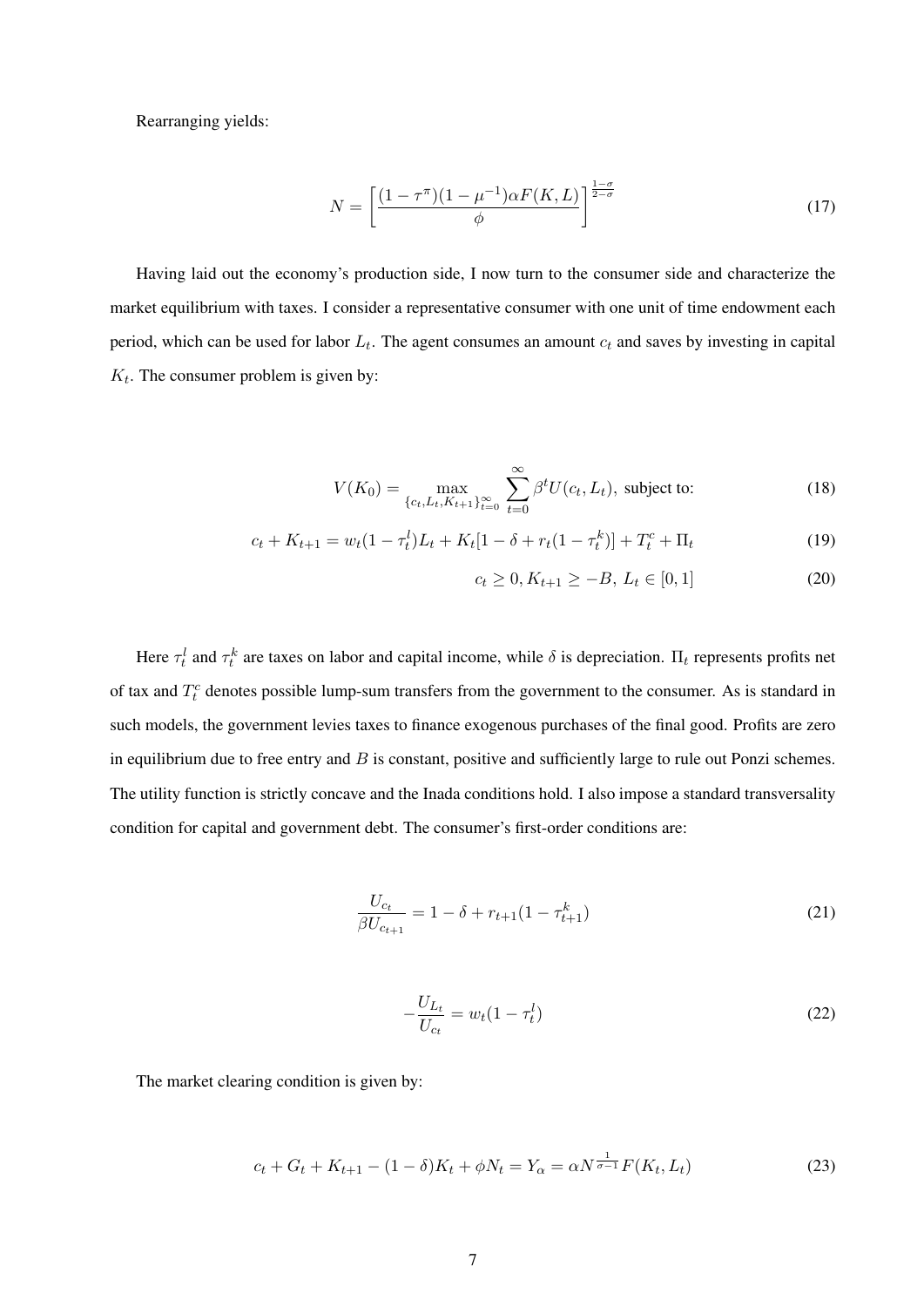Rearranging yields:

$$
N = \left[\frac{(1 - \tau^{\pi})(1 - \mu^{-1})\alpha F(K, L)}{\phi}\right]^{\frac{1 - \sigma}{2 - \sigma}}
$$
(17)

Having laid out the economy's production side, I now turn to the consumer side and characterize the market equilibrium with taxes. I consider a representative consumer with one unit of time endowment each period, which can be used for labor  $L_t$ . The agent consumes an amount  $c_t$  and saves by investing in capital  $K_t$ . The consumer problem is given by:

$$
V(K_0) = \max_{\{c_t, L_t, K_{t+1}\}_{t=0}^{\infty}} \sum_{t=0}^{\infty} \beta^t U(c_t, L_t), \text{ subject to:}
$$
 (18)

$$
c_t + K_{t+1} = w_t(1 - \tau_t^l)L_t + K_t[1 - \delta + r_t(1 - \tau_t^k)] + T_t^c + \Pi_t
$$
\n(19)

$$
c_t \ge 0, K_{t+1} \ge -B, L_t \in [0, 1]
$$
\n<sup>(20)</sup>

Here  $\tau_t^l$  and  $\tau_t^k$  are taxes on labor and capital income, while  $\delta$  is depreciation.  $\Pi_t$  represents profits net of tax and  $T_t^c$  denotes possible lump-sum transfers from the government to the consumer. As is standard in such models, the government levies taxes to finance exogenous purchases of the final good. Profits are zero in equilibrium due to free entry and  $B$  is constant, positive and sufficiently large to rule out Ponzi schemes. The utility function is strictly concave and the Inada conditions hold. I also impose a standard transversality condition for capital and government debt. The consumer's first-order conditions are:

$$
\frac{U_{c_t}}{\beta U_{c_{t+1}}} = 1 - \delta + r_{t+1}(1 - \tau_{t+1}^k)
$$
\n(21)

$$
-\frac{U_{L_t}}{U_{c_t}} = w_t (1 - \tau_t^l)
$$
\n(22)

The market clearing condition is given by:

$$
c_t + G_t + K_{t+1} - (1 - \delta)K_t + \phi N_t = Y_\alpha = \alpha N^{\frac{1}{\sigma - 1}} F(K_t, L_t)
$$
\n(23)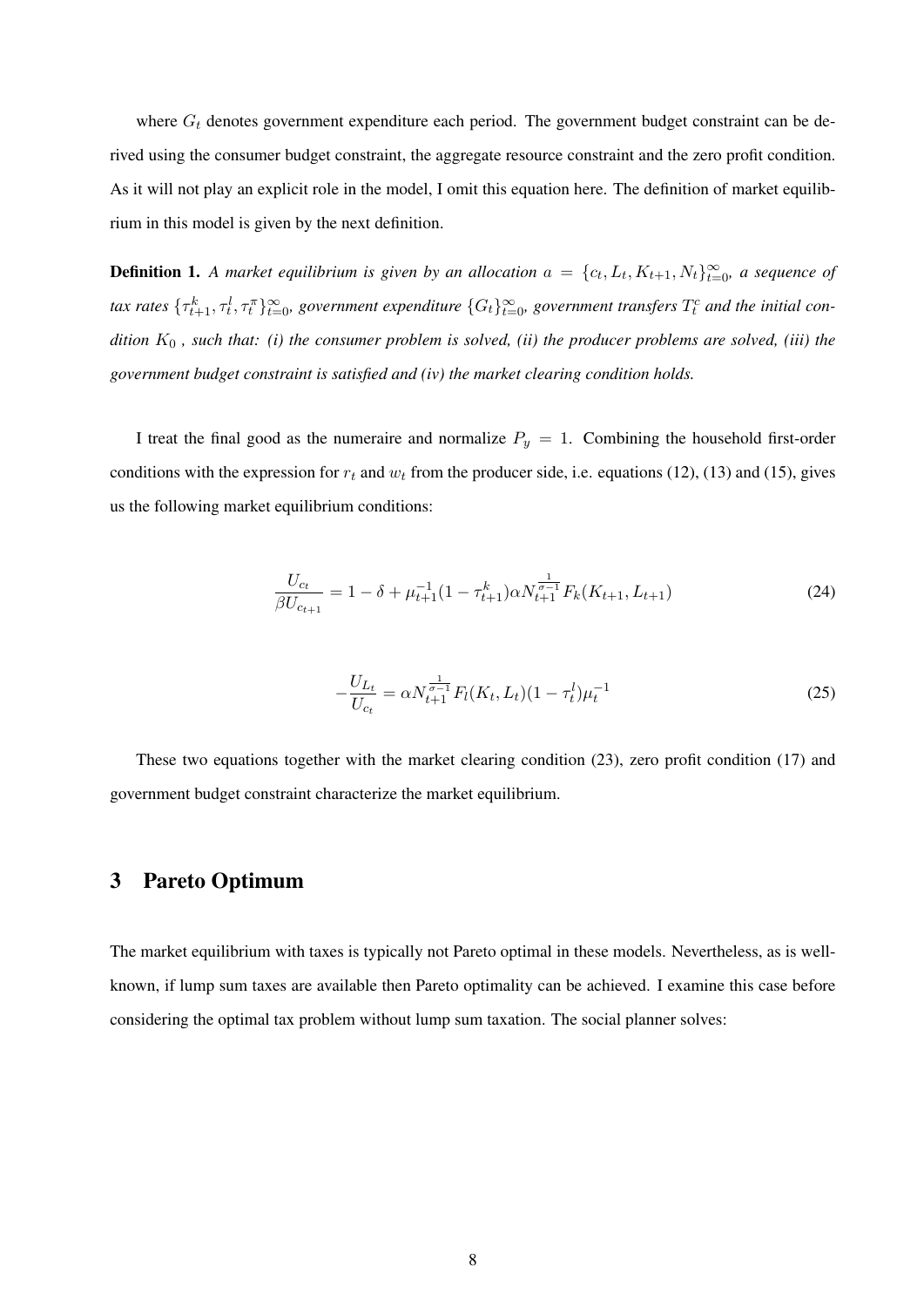where  $G_t$  denotes government expenditure each period. The government budget constraint can be derived using the consumer budget constraint, the aggregate resource constraint and the zero profit condition. As it will not play an explicit role in the model, I omit this equation here. The definition of market equilibrium in this model is given by the next definition.

**Definition 1.** A market equilibrium is given by an allocation  $a = \{c_t, L_t, K_{t+1}, N_t\}_{t=0}^{\infty}$ , a sequence of  $t$ ax rates  $\{\tau^k_{t+1},\tau^l_t,\tau^{\pi}_t\}_{t=0}^\infty$ , government expenditure  $\{G_t\}_{t=0}^\infty$ , government transfers  $T^c_t$  and the initial con*dition* K<sup>0</sup> *, such that: (i) the consumer problem is solved, (ii) the producer problems are solved, (iii) the government budget constraint is satisfied and (iv) the market clearing condition holds.*

I treat the final good as the numeraire and normalize  $P_y = 1$ . Combining the household first-order conditions with the expression for  $r_t$  and  $w_t$  from the producer side, i.e. equations (12), (13) and (15), gives us the following market equilibrium conditions:

$$
\frac{U_{c_t}}{\beta U_{c_{t+1}}} = 1 - \delta + \mu_{t+1}^{-1} (1 - \tau_{t+1}^k) \alpha N_{t+1}^{\frac{1}{\sigma - 1}} F_k(K_{t+1}, L_{t+1})
$$
\n(24)

$$
-\frac{U_{L_t}}{U_{c_t}} = \alpha N_{t+1}^{\frac{1}{\sigma-1}} F_l(K_t, L_t) (1 - \tau_t^l) \mu_t^{-1}
$$
\n(25)

These two equations together with the market clearing condition (23), zero profit condition (17) and government budget constraint characterize the market equilibrium.

## 3 Pareto Optimum

The market equilibrium with taxes is typically not Pareto optimal in these models. Nevertheless, as is wellknown, if lump sum taxes are available then Pareto optimality can be achieved. I examine this case before considering the optimal tax problem without lump sum taxation. The social planner solves: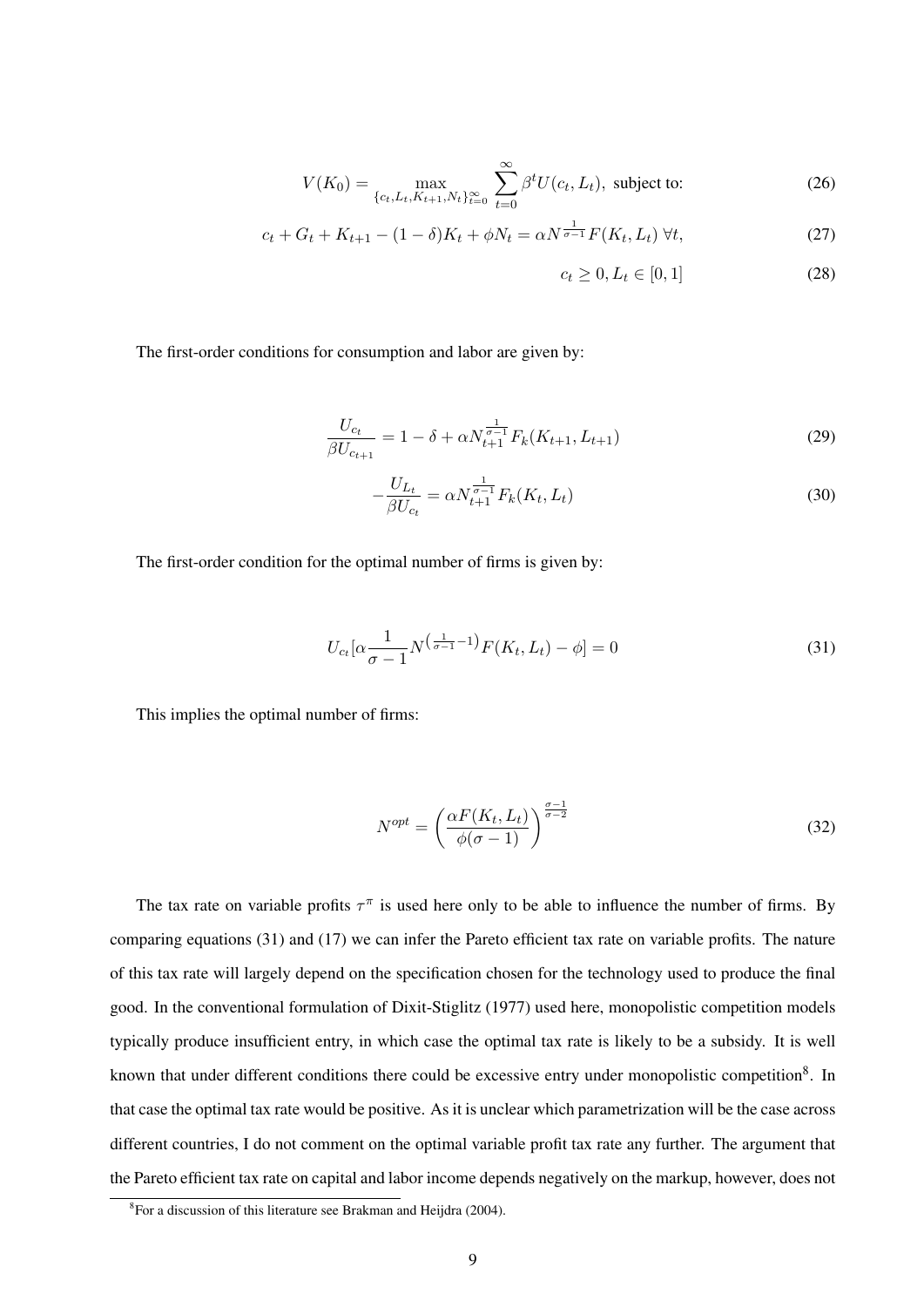$$
V(K_0) = \max_{\{c_t, L_t, K_{t+1}, N_t\}_{t=0}^{\infty}} \sum_{t=0}^{\infty} \beta^t U(c_t, L_t), \text{ subject to:}
$$
 (26)

$$
c_t + G_t + K_{t+1} - (1 - \delta)K_t + \phi N_t = \alpha N^{\frac{1}{\sigma - 1}} F(K_t, L_t) \,\forall t,
$$
\n(27)

$$
c_t \ge 0, L_t \in [0, 1]
$$
 (28)

The first-order conditions for consumption and labor are given by:

$$
\frac{U_{c_t}}{\beta U_{c_{t+1}}} = 1 - \delta + \alpha N_{t+1}^{\frac{1}{\sigma-1}} F_k(K_{t+1}, L_{t+1})
$$
\n(29)

$$
-\frac{U_{L_t}}{\beta U_{c_t}} = \alpha N_{t+1}^{\frac{1}{\sigma-1}} F_k(K_t, L_t)
$$
\n(30)

The first-order condition for the optimal number of firms is given by:

$$
U_{c_t}[\alpha \frac{1}{\sigma - 1} N^{\left(\frac{1}{\sigma - 1} - 1\right)} F(K_t, L_t) - \phi] = 0 \tag{31}
$$

This implies the optimal number of firms:

$$
N^{opt} = \left(\frac{\alpha F(K_t, L_t)}{\phi(\sigma - 1)}\right)^{\frac{\sigma - 1}{\sigma - 2}}\tag{32}
$$

The tax rate on variable profits  $\tau^{\pi}$  is used here only to be able to influence the number of firms. By comparing equations (31) and (17) we can infer the Pareto efficient tax rate on variable profits. The nature of this tax rate will largely depend on the specification chosen for the technology used to produce the final good. In the conventional formulation of Dixit-Stiglitz (1977) used here, monopolistic competition models typically produce insufficient entry, in which case the optimal tax rate is likely to be a subsidy. It is well known that under different conditions there could be excessive entry under monopolistic competition<sup>8</sup>. In that case the optimal tax rate would be positive. As it is unclear which parametrization will be the case across different countries, I do not comment on the optimal variable profit tax rate any further. The argument that the Pareto efficient tax rate on capital and labor income depends negatively on the markup, however, does not

<sup>&</sup>lt;sup>8</sup> For a discussion of this literature see Brakman and Heijdra (2004).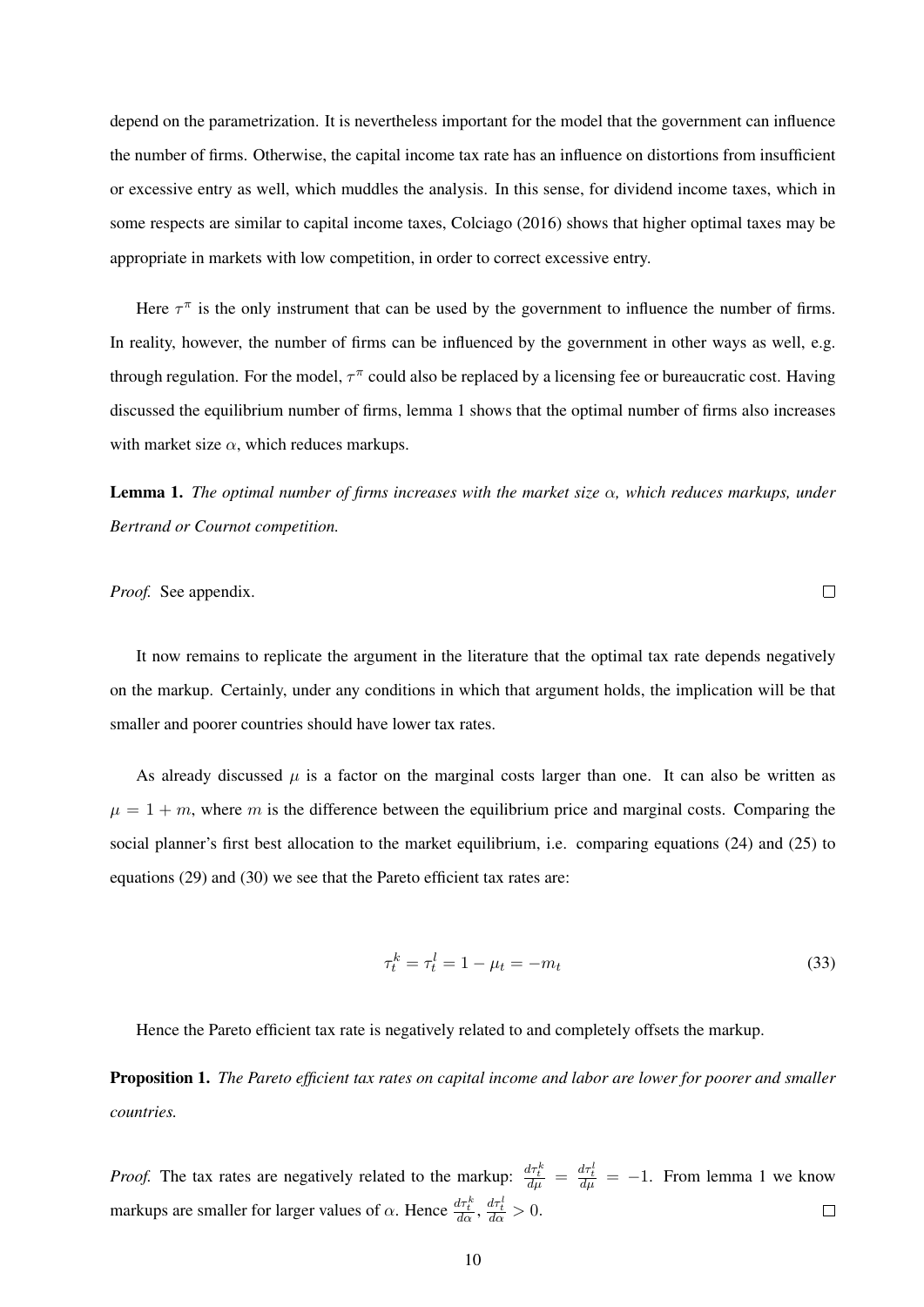depend on the parametrization. It is nevertheless important for the model that the government can influence the number of firms. Otherwise, the capital income tax rate has an influence on distortions from insufficient or excessive entry as well, which muddles the analysis. In this sense, for dividend income taxes, which in some respects are similar to capital income taxes, Colciago (2016) shows that higher optimal taxes may be appropriate in markets with low competition, in order to correct excessive entry.

Here  $\tau^{\pi}$  is the only instrument that can be used by the government to influence the number of firms. In reality, however, the number of firms can be influenced by the government in other ways as well, e.g. through regulation. For the model,  $\tau^{\pi}$  could also be replaced by a licensing fee or bureaucratic cost. Having discussed the equilibrium number of firms, lemma 1 shows that the optimal number of firms also increases with market size  $\alpha$ , which reduces markups.

Lemma 1. *The optimal number of firms increases with the market size* α*, which reduces markups, under Bertrand or Cournot competition.*

*Proof.* See appendix.

It now remains to replicate the argument in the literature that the optimal tax rate depends negatively on the markup. Certainly, under any conditions in which that argument holds, the implication will be that smaller and poorer countries should have lower tax rates.

As already discussed  $\mu$  is a factor on the marginal costs larger than one. It can also be written as  $\mu = 1 + m$ , where m is the difference between the equilibrium price and marginal costs. Comparing the social planner's first best allocation to the market equilibrium, i.e. comparing equations (24) and (25) to equations (29) and (30) we see that the Pareto efficient tax rates are:

$$
\tau_t^k = \tau_t^l = 1 - \mu_t = -m_t \tag{33}
$$

Hence the Pareto efficient tax rate is negatively related to and completely offsets the markup.

Proposition 1. *The Pareto efficient tax rates on capital income and labor are lower for poorer and smaller countries.*

*Proof.* The tax rates are negatively related to the markup:  $\frac{d\tau_t^k}{d\mu} = \frac{d\tau_t^l}{d\mu} = -1$ . From lemma 1 we know markups are smaller for larger values of  $\alpha$ . Hence  $\frac{d\tau_{k}^{k}}{d\alpha}$ ,  $\frac{d\tau_{k}^{l}}{d\alpha} > 0$ .  $\Box$ 

 $\Box$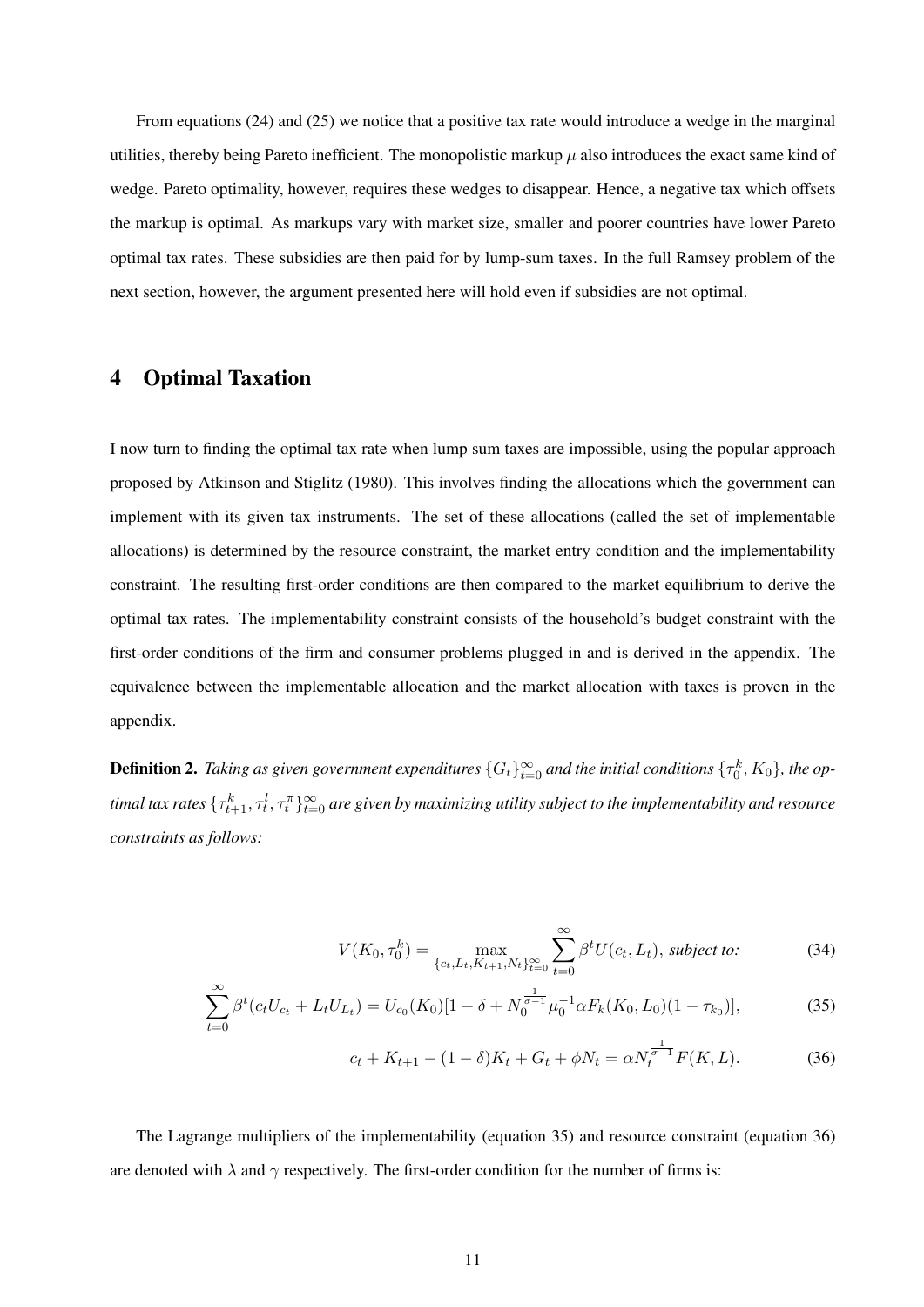From equations (24) and (25) we notice that a positive tax rate would introduce a wedge in the marginal utilities, thereby being Pareto inefficient. The monopolistic markup  $\mu$  also introduces the exact same kind of wedge. Pareto optimality, however, requires these wedges to disappear. Hence, a negative tax which offsets the markup is optimal. As markups vary with market size, smaller and poorer countries have lower Pareto optimal tax rates. These subsidies are then paid for by lump-sum taxes. In the full Ramsey problem of the next section, however, the argument presented here will hold even if subsidies are not optimal.

#### 4 Optimal Taxation

I now turn to finding the optimal tax rate when lump sum taxes are impossible, using the popular approach proposed by Atkinson and Stiglitz (1980). This involves finding the allocations which the government can implement with its given tax instruments. The set of these allocations (called the set of implementable allocations) is determined by the resource constraint, the market entry condition and the implementability constraint. The resulting first-order conditions are then compared to the market equilibrium to derive the optimal tax rates. The implementability constraint consists of the household's budget constraint with the first-order conditions of the firm and consumer problems plugged in and is derived in the appendix. The equivalence between the implementable allocation and the market allocation with taxes is proven in the appendix.

**Definition 2.** Taking as given government expenditures  $\{G_t\}_{t=0}^\infty$  and the initial conditions  $\{\tau_0^k,K_0\}$ , the optimal tax rates  $\{\tau^k_{t+1},\tau^l_t,\tau^{\pi}_t\}_{t=0}^\infty$  are given by maximizing utility subject to the implementability and resource *constraints as follows:*

$$
V(K_0, \tau_0^k) = \max_{\{c_t, L_t, K_{t+1}, N_t\}_{t=0}^{\infty}} \sum_{t=0}^{\infty} \beta^t U(c_t, L_t), \text{ subject to:}
$$
 (34)

$$
\sum_{t=0}^{\infty} \beta^t (c_t U_{c_t} + L_t U_{L_t}) = U_{c_0}(K_0)[1 - \delta + N_0^{\frac{1}{\sigma - 1}} \mu_0^{-1} \alpha F_k(K_0, L_0)(1 - \tau_{k_0})],
$$
\n(35)

$$
c_t + K_{t+1} - (1 - \delta)K_t + G_t + \phi N_t = \alpha N_t^{\frac{1}{\sigma - 1}} F(K, L). \tag{36}
$$

The Lagrange multipliers of the implementability (equation 35) and resource constraint (equation 36) are denoted with  $\lambda$  and  $\gamma$  respectively. The first-order condition for the number of firms is: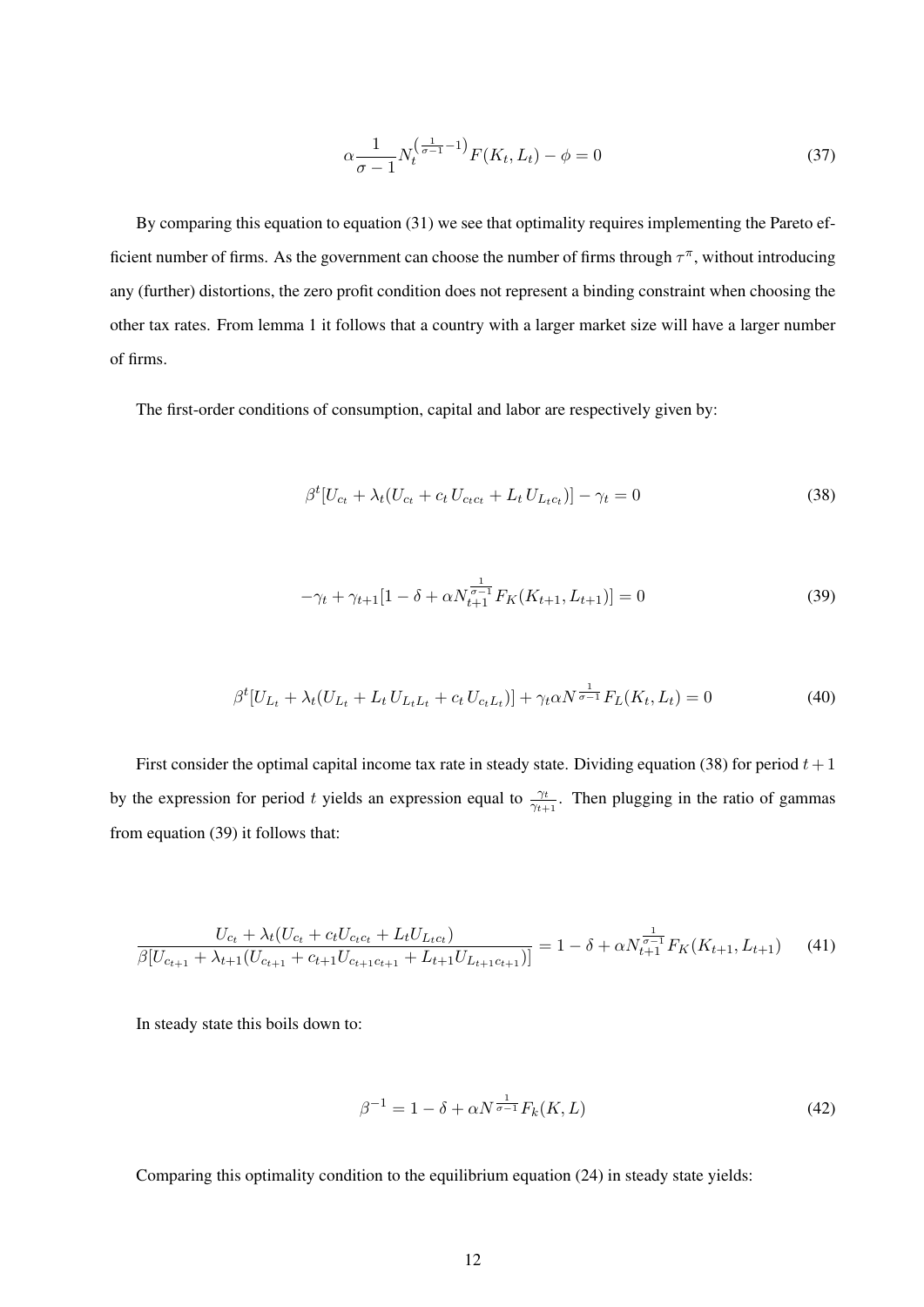$$
\alpha \frac{1}{\sigma - 1} N_t^{\left(\frac{1}{\sigma - 1} - 1\right)} F(K_t, L_t) - \phi = 0 \tag{37}
$$

By comparing this equation to equation (31) we see that optimality requires implementing the Pareto efficient number of firms. As the government can choose the number of firms through  $\tau^{\pi}$ , without introducing any (further) distortions, the zero profit condition does not represent a binding constraint when choosing the other tax rates. From lemma 1 it follows that a country with a larger market size will have a larger number of firms.

The first-order conditions of consumption, capital and labor are respectively given by:

$$
\beta^{t}[U_{c_{t}} + \lambda_{t}(U_{c_{t}} + c_{t} U_{c_{t}c_{t}} + L_{t} U_{L_{t}c_{t}})] - \gamma_{t} = 0
$$
\n(38)

$$
-\gamma_t + \gamma_{t+1} [1 - \delta + \alpha N_{t+1}^{\frac{1}{\sigma - 1}} F_K(K_{t+1}, L_{t+1})] = 0 \tag{39}
$$

$$
\beta^{t}[U_{L_{t}} + \lambda_{t}(U_{L_{t}} + L_{t}U_{L_{t}L_{t}} + c_{t}U_{c_{t}L_{t}})] + \gamma_{t}\alpha N^{\frac{1}{\sigma-1}}F_{L}(K_{t},L_{t}) = 0
$$
\n(40)

First consider the optimal capital income tax rate in steady state. Dividing equation (38) for period  $t + 1$ by the expression for period t yields an expression equal to  $\frac{\gamma_t}{\gamma_{t+1}}$ . Then plugging in the ratio of gammas from equation (39) it follows that:

$$
\frac{U_{c_t} + \lambda_t (U_{c_t} + c_t U_{c_t c_t} + L_t U_{L_t c_t})}{\beta [U_{c_{t+1}} + \lambda_{t+1} (U_{c_{t+1}} + c_{t+1} U_{c_{t+1} c_{t+1}} + L_{t+1} U_{L_{t+1} c_{t+1}})]} = 1 - \delta + \alpha N_{t+1}^{\frac{1}{\sigma-1}} F_K(K_{t+1}, L_{t+1}) \tag{41}
$$

In steady state this boils down to:

$$
\beta^{-1} = 1 - \delta + \alpha N^{\frac{1}{\sigma - 1}} F_k(K, L) \tag{42}
$$

Comparing this optimality condition to the equilibrium equation (24) in steady state yields: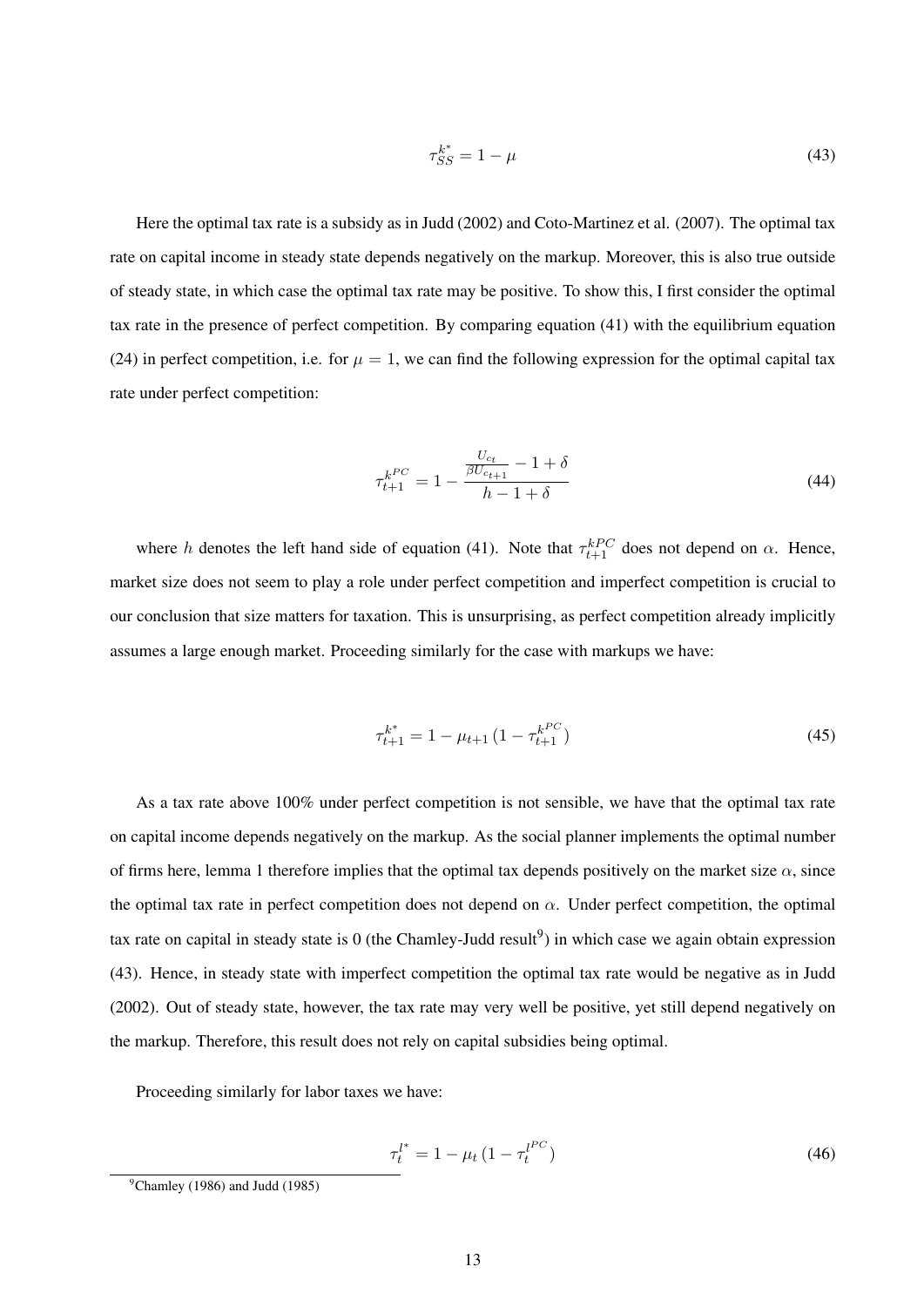$$
\tau_{SS}^{k^*} = 1 - \mu \tag{43}
$$

Here the optimal tax rate is a subsidy as in Judd (2002) and Coto-Martinez et al. (2007). The optimal tax rate on capital income in steady state depends negatively on the markup. Moreover, this is also true outside of steady state, in which case the optimal tax rate may be positive. To show this, I first consider the optimal tax rate in the presence of perfect competition. By comparing equation (41) with the equilibrium equation (24) in perfect competition, i.e. for  $\mu = 1$ , we can find the following expression for the optimal capital tax rate under perfect competition:

$$
\tau_{t+1}^{k^{PC}} = 1 - \frac{\frac{U_{c_t}}{\beta U_{c_{t+1}}} - 1 + \delta}{h - 1 + \delta} \tag{44}
$$

where h denotes the left hand side of equation (41). Note that  $\tau_{t+1}^{kPC}$  does not depend on  $\alpha$ . Hence, market size does not seem to play a role under perfect competition and imperfect competition is crucial to our conclusion that size matters for taxation. This is unsurprising, as perfect competition already implicitly assumes a large enough market. Proceeding similarly for the case with markups we have:

$$
\tau_{t+1}^{k^*} = 1 - \mu_{t+1} \left( 1 - \tau_{t+1}^{k^{PC}} \right) \tag{45}
$$

As a tax rate above 100% under perfect competition is not sensible, we have that the optimal tax rate on capital income depends negatively on the markup. As the social planner implements the optimal number of firms here, lemma 1 therefore implies that the optimal tax depends positively on the market size  $\alpha$ , since the optimal tax rate in perfect competition does not depend on  $\alpha$ . Under perfect competition, the optimal tax rate on capital in steady state is 0 (the Chamley-Judd result<sup>9</sup>) in which case we again obtain expression (43). Hence, in steady state with imperfect competition the optimal tax rate would be negative as in Judd (2002). Out of steady state, however, the tax rate may very well be positive, yet still depend negatively on the markup. Therefore, this result does not rely on capital subsidies being optimal.

Proceeding similarly for labor taxes we have:

$$
\tau_t^{l^*} = 1 - \mu_t \left( 1 - \tau_t^{l^{PC}} \right) \tag{46}
$$

 $^9$ Chamley (1986) and Judd (1985)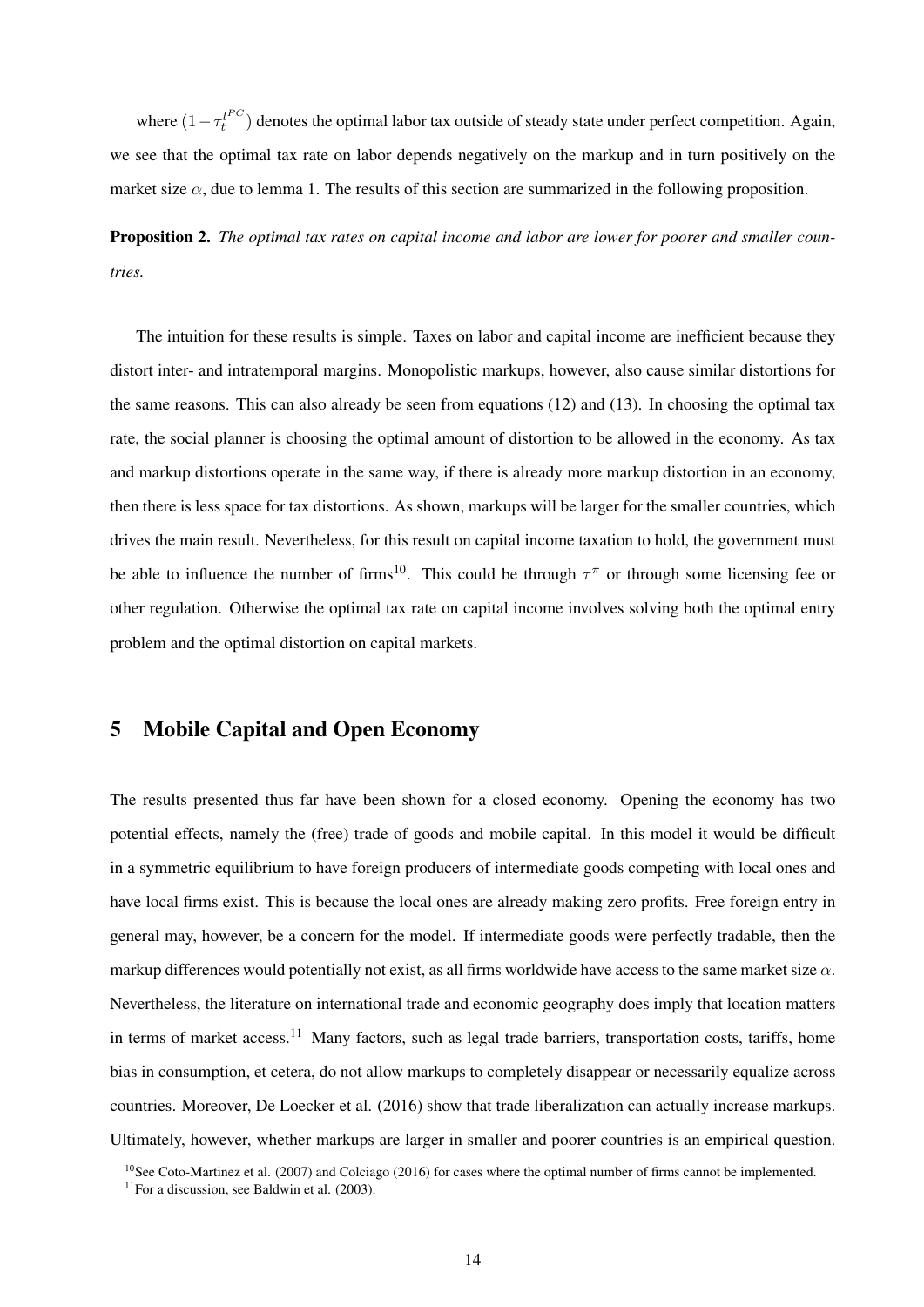where  $(1 - \tau_t^{l^{PC}})$  $t_t^{(t)}$  denotes the optimal labor tax outside of steady state under perfect competition. Again, we see that the optimal tax rate on labor depends negatively on the markup and in turn positively on the market size  $\alpha$ , due to lemma 1. The results of this section are summarized in the following proposition.

Proposition 2. *The optimal tax rates on capital income and labor are lower for poorer and smaller countries.*

The intuition for these results is simple. Taxes on labor and capital income are inefficient because they distort inter- and intratemporal margins. Monopolistic markups, however, also cause similar distortions for the same reasons. This can also already be seen from equations (12) and (13). In choosing the optimal tax rate, the social planner is choosing the optimal amount of distortion to be allowed in the economy. As tax and markup distortions operate in the same way, if there is already more markup distortion in an economy, then there is less space for tax distortions. As shown, markups will be larger for the smaller countries, which drives the main result. Nevertheless, for this result on capital income taxation to hold, the government must be able to influence the number of firms<sup>10</sup>. This could be through  $\tau^{\pi}$  or through some licensing fee or other regulation. Otherwise the optimal tax rate on capital income involves solving both the optimal entry problem and the optimal distortion on capital markets.

## 5 Mobile Capital and Open Economy

The results presented thus far have been shown for a closed economy. Opening the economy has two potential effects, namely the (free) trade of goods and mobile capital. In this model it would be difficult in a symmetric equilibrium to have foreign producers of intermediate goods competing with local ones and have local firms exist. This is because the local ones are already making zero profits. Free foreign entry in general may, however, be a concern for the model. If intermediate goods were perfectly tradable, then the markup differences would potentially not exist, as all firms worldwide have access to the same market size  $\alpha$ . Nevertheless, the literature on international trade and economic geography does imply that location matters in terms of market access.<sup>11</sup> Many factors, such as legal trade barriers, transportation costs, tariffs, home bias in consumption, et cetera, do not allow markups to completely disappear or necessarily equalize across countries. Moreover, De Loecker et al. (2016) show that trade liberalization can actually increase markups. Ultimately, however, whether markups are larger in smaller and poorer countries is an empirical question.

<sup>&</sup>lt;sup>10</sup>See Coto-Martinez et al. (2007) and Colciago (2016) for cases where the optimal number of firms cannot be implemented.

 $11$ For a discussion, see Baldwin et al. (2003).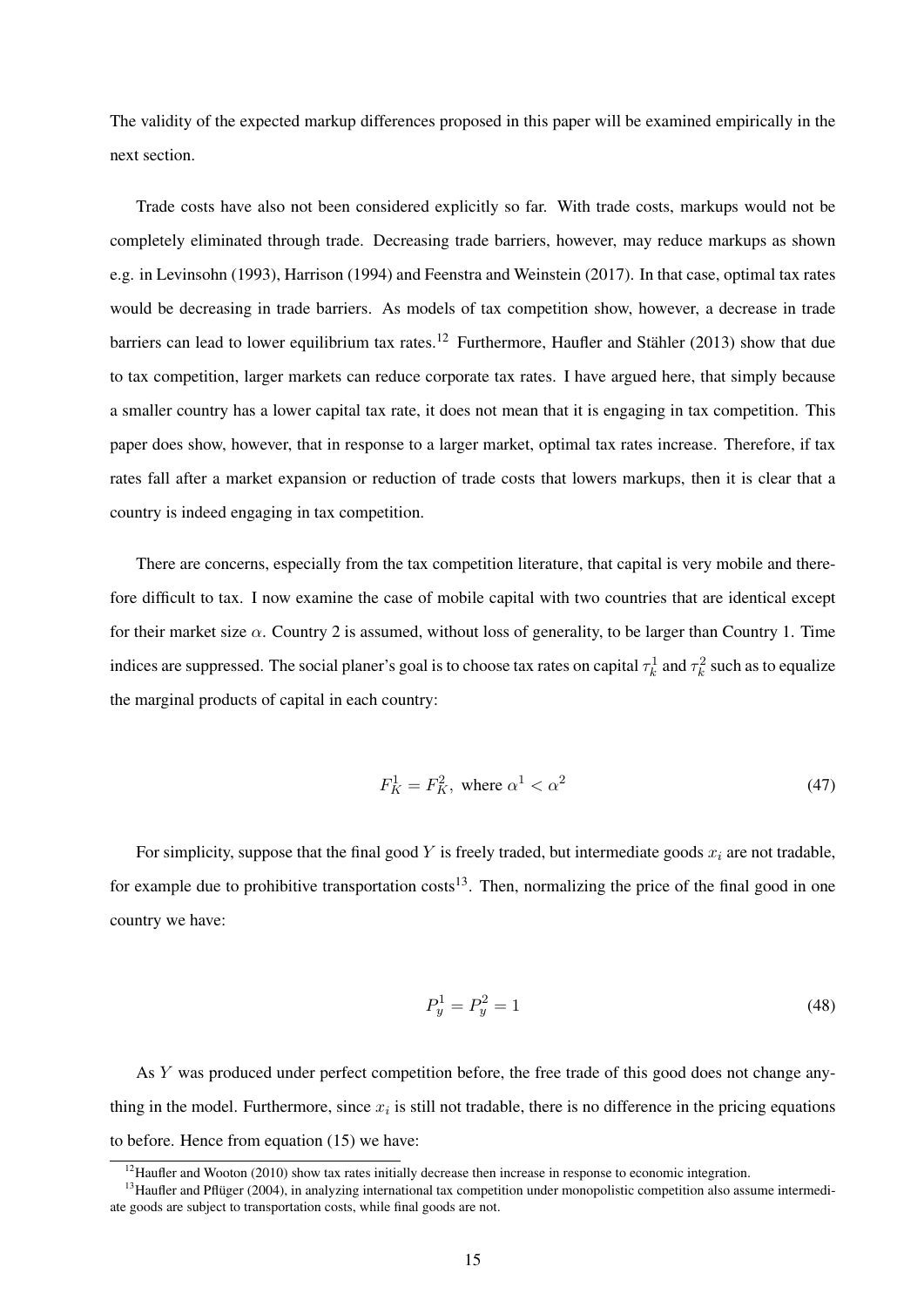The validity of the expected markup differences proposed in this paper will be examined empirically in the next section.

Trade costs have also not been considered explicitly so far. With trade costs, markups would not be completely eliminated through trade. Decreasing trade barriers, however, may reduce markups as shown e.g. in Levinsohn (1993), Harrison (1994) and Feenstra and Weinstein (2017). In that case, optimal tax rates would be decreasing in trade barriers. As models of tax competition show, however, a decrease in trade barriers can lead to lower equilibrium tax rates.<sup>12</sup> Furthermore, Haufler and Stähler (2013) show that due to tax competition, larger markets can reduce corporate tax rates. I have argued here, that simply because a smaller country has a lower capital tax rate, it does not mean that it is engaging in tax competition. This paper does show, however, that in response to a larger market, optimal tax rates increase. Therefore, if tax rates fall after a market expansion or reduction of trade costs that lowers markups, then it is clear that a country is indeed engaging in tax competition.

There are concerns, especially from the tax competition literature, that capital is very mobile and therefore difficult to tax. I now examine the case of mobile capital with two countries that are identical except for their market size  $\alpha$ . Country 2 is assumed, without loss of generality, to be larger than Country 1. Time indices are suppressed. The social planer's goal is to choose tax rates on capital  $\tau_k^1$  and  $\tau_k^2$  such as to equalize the marginal products of capital in each country:

$$
F_K^1 = F_K^2, \text{ where } \alpha^1 < \alpha^2 \tag{47}
$$

For simplicity, suppose that the final good Y is freely traded, but intermediate goods  $x_i$  are not tradable, for example due to prohibitive transportation  $costs<sup>13</sup>$ . Then, normalizing the price of the final good in one country we have:

$$
P_y^1 = P_y^2 = 1\tag{48}
$$

As Y was produced under perfect competition before, the free trade of this good does not change anything in the model. Furthermore, since  $x_i$  is still not tradable, there is no difference in the pricing equations to before. Hence from equation (15) we have:

<sup>&</sup>lt;sup>12</sup>Haufler and Wooton (2010) show tax rates initially decrease then increase in response to economic integration.

 $13$ Haufler and Pflüger (2004), in analyzing international tax competition under monopolistic competition also assume intermediate goods are subject to transportation costs, while final goods are not.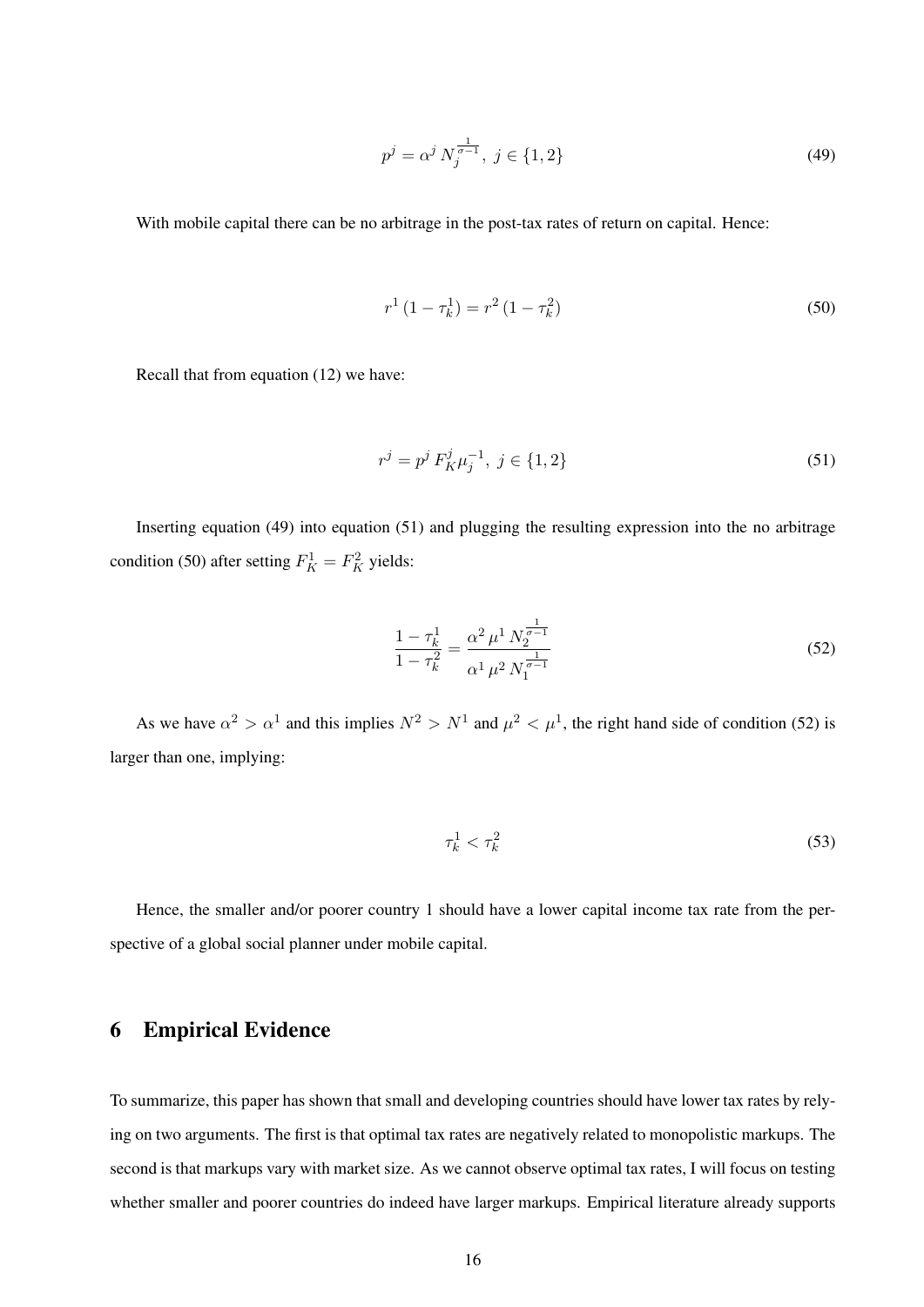$$
p^j = \alpha^j N_j^{\frac{1}{\sigma - 1}}, \ j \in \{1, 2\} \tag{49}
$$

With mobile capital there can be no arbitrage in the post-tax rates of return on capital. Hence:

$$
r^{1} (1 - \tau_{k}^{1}) = r^{2} (1 - \tau_{k}^{2})
$$
\n(50)

Recall that from equation (12) we have:

$$
r^j = p^j F_K^j \mu_j^{-1}, \ j \in \{1, 2\} \tag{51}
$$

Inserting equation (49) into equation (51) and plugging the resulting expression into the no arbitrage condition (50) after setting  $F_K^1 = F_K^2$  yields:

$$
\frac{1 - \tau_k^1}{1 - \tau_k^2} = \frac{\alpha^2 \mu^1 N_2^{\frac{1}{\sigma - 1}}}{\alpha^1 \mu^2 N_1^{\frac{1}{\sigma - 1}}} \tag{52}
$$

As we have  $\alpha^2 > \alpha^1$  and this implies  $N^2 > N^1$  and  $\mu^2 < \mu^1$ , the right hand side of condition (52) is larger than one, implying:

$$
\tau_k^1 < \tau_k^2 \tag{53}
$$

Hence, the smaller and/or poorer country 1 should have a lower capital income tax rate from the perspective of a global social planner under mobile capital.

## 6 Empirical Evidence

To summarize, this paper has shown that small and developing countries should have lower tax rates by relying on two arguments. The first is that optimal tax rates are negatively related to monopolistic markups. The second is that markups vary with market size. As we cannot observe optimal tax rates, I will focus on testing whether smaller and poorer countries do indeed have larger markups. Empirical literature already supports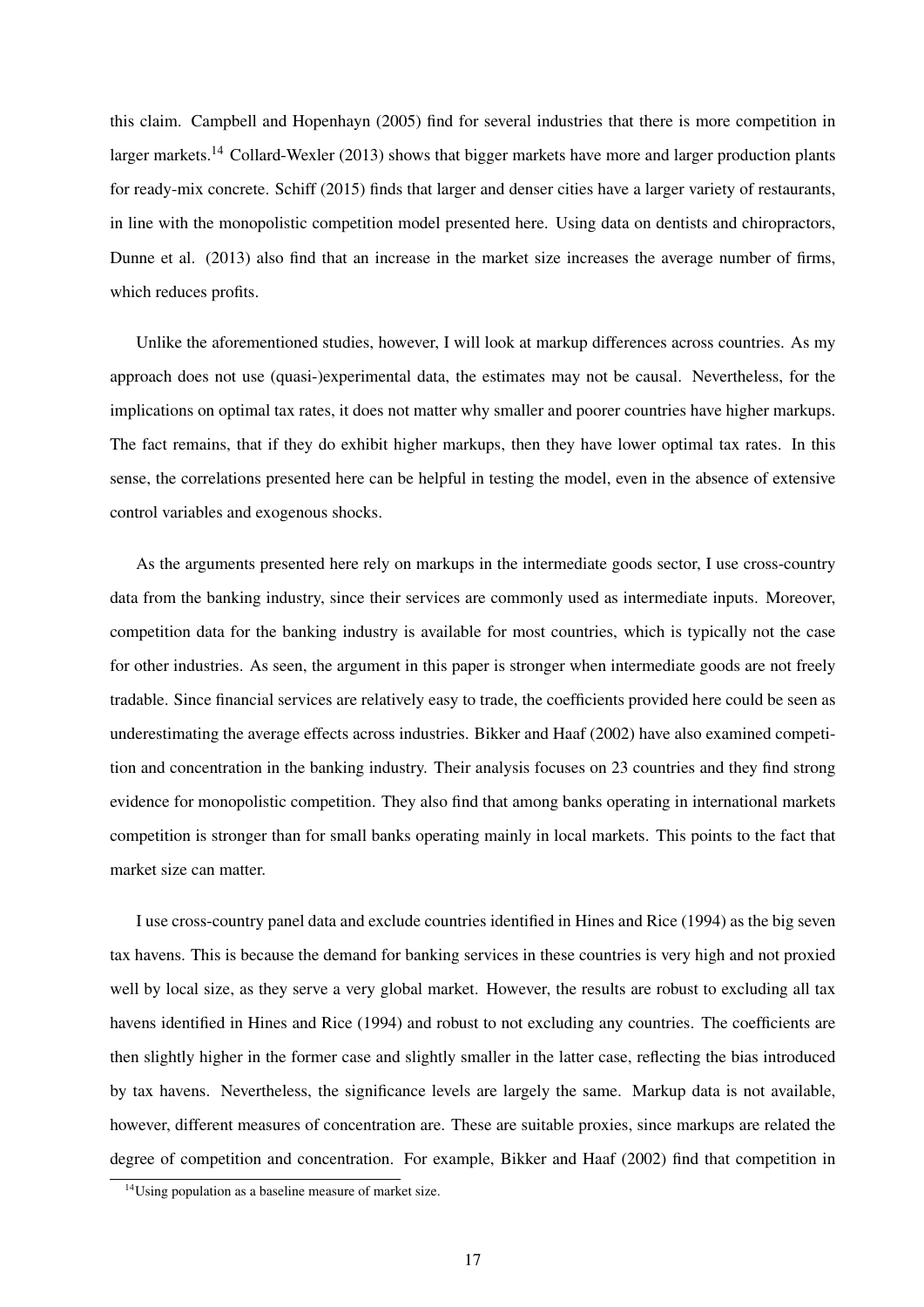this claim. Campbell and Hopenhayn (2005) find for several industries that there is more competition in larger markets.<sup>14</sup> Collard-Wexler (2013) shows that bigger markets have more and larger production plants for ready-mix concrete. Schiff (2015) finds that larger and denser cities have a larger variety of restaurants, in line with the monopolistic competition model presented here. Using data on dentists and chiropractors, Dunne et al. (2013) also find that an increase in the market size increases the average number of firms, which reduces profits.

Unlike the aforementioned studies, however, I will look at markup differences across countries. As my approach does not use (quasi-)experimental data, the estimates may not be causal. Nevertheless, for the implications on optimal tax rates, it does not matter why smaller and poorer countries have higher markups. The fact remains, that if they do exhibit higher markups, then they have lower optimal tax rates. In this sense, the correlations presented here can be helpful in testing the model, even in the absence of extensive control variables and exogenous shocks.

As the arguments presented here rely on markups in the intermediate goods sector, I use cross-country data from the banking industry, since their services are commonly used as intermediate inputs. Moreover, competition data for the banking industry is available for most countries, which is typically not the case for other industries. As seen, the argument in this paper is stronger when intermediate goods are not freely tradable. Since financial services are relatively easy to trade, the coefficients provided here could be seen as underestimating the average effects across industries. Bikker and Haaf (2002) have also examined competition and concentration in the banking industry. Their analysis focuses on 23 countries and they find strong evidence for monopolistic competition. They also find that among banks operating in international markets competition is stronger than for small banks operating mainly in local markets. This points to the fact that market size can matter.

I use cross-country panel data and exclude countries identified in Hines and Rice (1994) as the big seven tax havens. This is because the demand for banking services in these countries is very high and not proxied well by local size, as they serve a very global market. However, the results are robust to excluding all tax havens identified in Hines and Rice (1994) and robust to not excluding any countries. The coefficients are then slightly higher in the former case and slightly smaller in the latter case, reflecting the bias introduced by tax havens. Nevertheless, the significance levels are largely the same. Markup data is not available, however, different measures of concentration are. These are suitable proxies, since markups are related the degree of competition and concentration. For example, Bikker and Haaf (2002) find that competition in

<sup>&</sup>lt;sup>14</sup>Using population as a baseline measure of market size.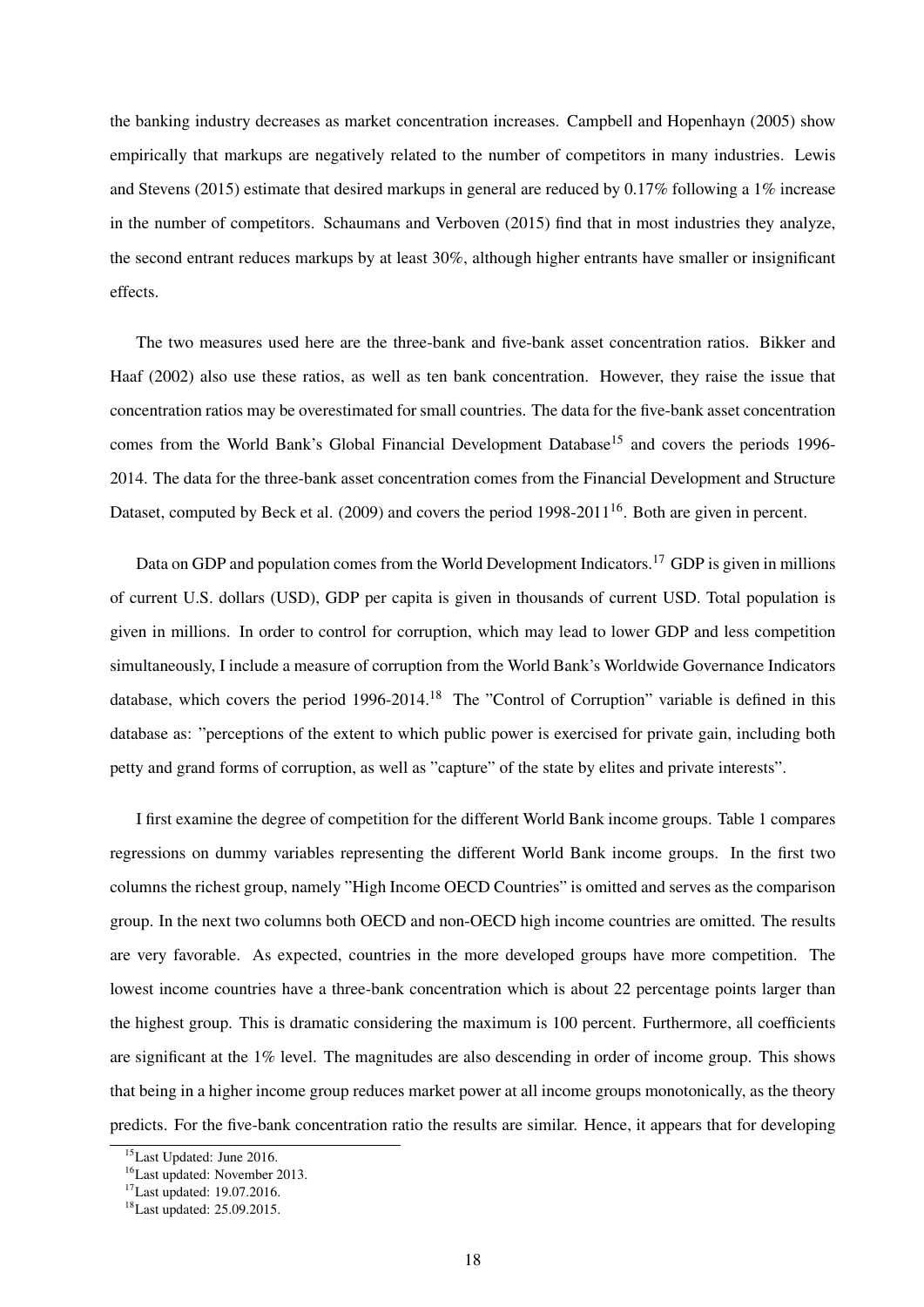the banking industry decreases as market concentration increases. Campbell and Hopenhayn (2005) show empirically that markups are negatively related to the number of competitors in many industries. Lewis and Stevens (2015) estimate that desired markups in general are reduced by 0.17% following a 1% increase in the number of competitors. Schaumans and Verboven (2015) find that in most industries they analyze, the second entrant reduces markups by at least 30%, although higher entrants have smaller or insignificant effects.

The two measures used here are the three-bank and five-bank asset concentration ratios. Bikker and Haaf (2002) also use these ratios, as well as ten bank concentration. However, they raise the issue that concentration ratios may be overestimated for small countries. The data for the five-bank asset concentration comes from the World Bank's Global Financial Development Database<sup>15</sup> and covers the periods 1996-2014. The data for the three-bank asset concentration comes from the Financial Development and Structure Dataset, computed by Beck et al. (2009) and covers the period  $1998-2011^{16}$ . Both are given in percent.

Data on GDP and population comes from the World Development Indicators.<sup>17</sup> GDP is given in millions of current U.S. dollars (USD), GDP per capita is given in thousands of current USD. Total population is given in millions. In order to control for corruption, which may lead to lower GDP and less competition simultaneously, I include a measure of corruption from the World Bank's Worldwide Governance Indicators database, which covers the period 1996-2014.<sup>18</sup> The "Control of Corruption" variable is defined in this database as: "perceptions of the extent to which public power is exercised for private gain, including both petty and grand forms of corruption, as well as "capture" of the state by elites and private interests".

I first examine the degree of competition for the different World Bank income groups. Table 1 compares regressions on dummy variables representing the different World Bank income groups. In the first two columns the richest group, namely "High Income OECD Countries" is omitted and serves as the comparison group. In the next two columns both OECD and non-OECD high income countries are omitted. The results are very favorable. As expected, countries in the more developed groups have more competition. The lowest income countries have a three-bank concentration which is about 22 percentage points larger than the highest group. This is dramatic considering the maximum is 100 percent. Furthermore, all coefficients are significant at the 1% level. The magnitudes are also descending in order of income group. This shows that being in a higher income group reduces market power at all income groups monotonically, as the theory predicts. For the five-bank concentration ratio the results are similar. Hence, it appears that for developing

<sup>15</sup>Last Updated: June 2016.

<sup>16</sup>Last updated: November 2013.

<sup>17</sup>Last updated: 19.07.2016.

<sup>18</sup>Last updated: 25.09.2015.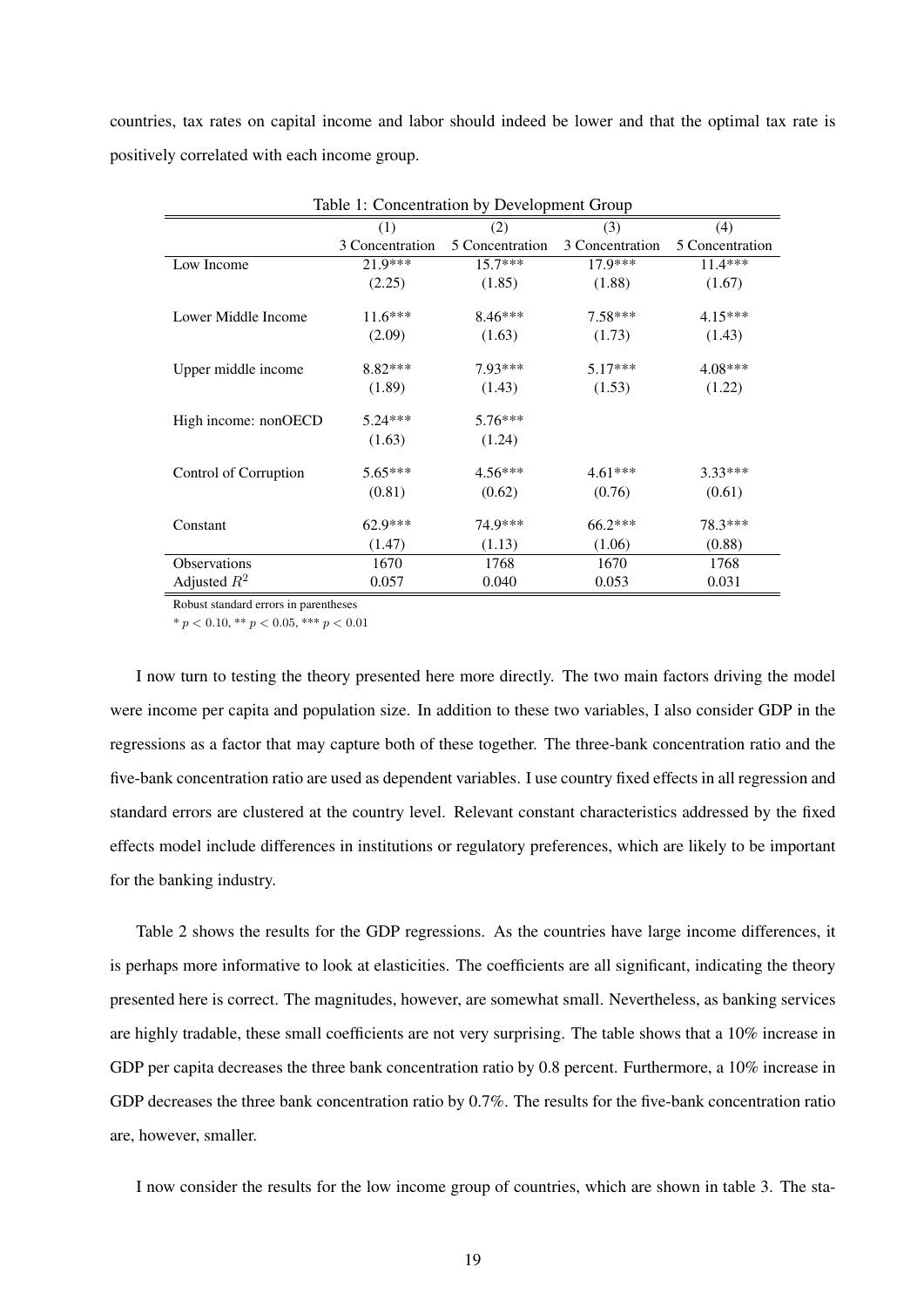countries, tax rates on capital income and labor should indeed be lower and that the optimal tax rate is positively correlated with each income group.

| Table 1: Concentration by Development Group |                 |                 |                 |                 |
|---------------------------------------------|-----------------|-----------------|-----------------|-----------------|
|                                             | (1)             | (2)             | (3)             | (4)             |
|                                             | 3 Concentration | 5 Concentration | 3 Concentration | 5 Concentration |
| Low Income                                  | 21.9***         | $15.7***$       | $17.9***$       | $11.4***$       |
|                                             | (2.25)          | (1.85)          | (1.88)          | (1.67)          |
| Lower Middle Income                         | $11.6***$       | $8.46***$       | $7.58***$       | $4.15***$       |
|                                             | (2.09)          | (1.63)          | (1.73)          | (1.43)          |
| Upper middle income                         | $8.82***$       | $7.93***$       | $5.17***$       | $4.08***$       |
|                                             | (1.89)          | (1.43)          | (1.53)          | (1.22)          |
| High income: nonOECD                        | $5.24***$       | $5.76***$       |                 |                 |
|                                             | (1.63)          | (1.24)          |                 |                 |
| Control of Corruption                       | $5.65***$       | $4.56***$       | $4.61***$       | $3.33***$       |
|                                             | (0.81)          | (0.62)          | (0.76)          | (0.61)          |
| Constant                                    | 62.9***         | 74.9***         | $66.2***$       | 78.3***         |
|                                             | (1.47)          | (1.13)          | (1.06)          | (0.88)          |
| Observations                                | 1670            | 1768            | 1670            | 1768            |
| Adjusted $R^2$                              | 0.057           | 0.040           | 0.053           | 0.031           |

Robust standard errors in parentheses

\*  $p < 0.10$ , \*\*  $p < 0.05$ , \*\*\*  $p < 0.01$ 

I now turn to testing the theory presented here more directly. The two main factors driving the model were income per capita and population size. In addition to these two variables, I also consider GDP in the regressions as a factor that may capture both of these together. The three-bank concentration ratio and the five-bank concentration ratio are used as dependent variables. I use country fixed effects in all regression and standard errors are clustered at the country level. Relevant constant characteristics addressed by the fixed effects model include differences in institutions or regulatory preferences, which are likely to be important for the banking industry.

Table 2 shows the results for the GDP regressions. As the countries have large income differences, it is perhaps more informative to look at elasticities. The coefficients are all significant, indicating the theory presented here is correct. The magnitudes, however, are somewhat small. Nevertheless, as banking services are highly tradable, these small coefficients are not very surprising. The table shows that a 10% increase in GDP per capita decreases the three bank concentration ratio by 0.8 percent. Furthermore, a 10% increase in GDP decreases the three bank concentration ratio by 0.7%. The results for the five-bank concentration ratio are, however, smaller.

I now consider the results for the low income group of countries, which are shown in table 3. The sta-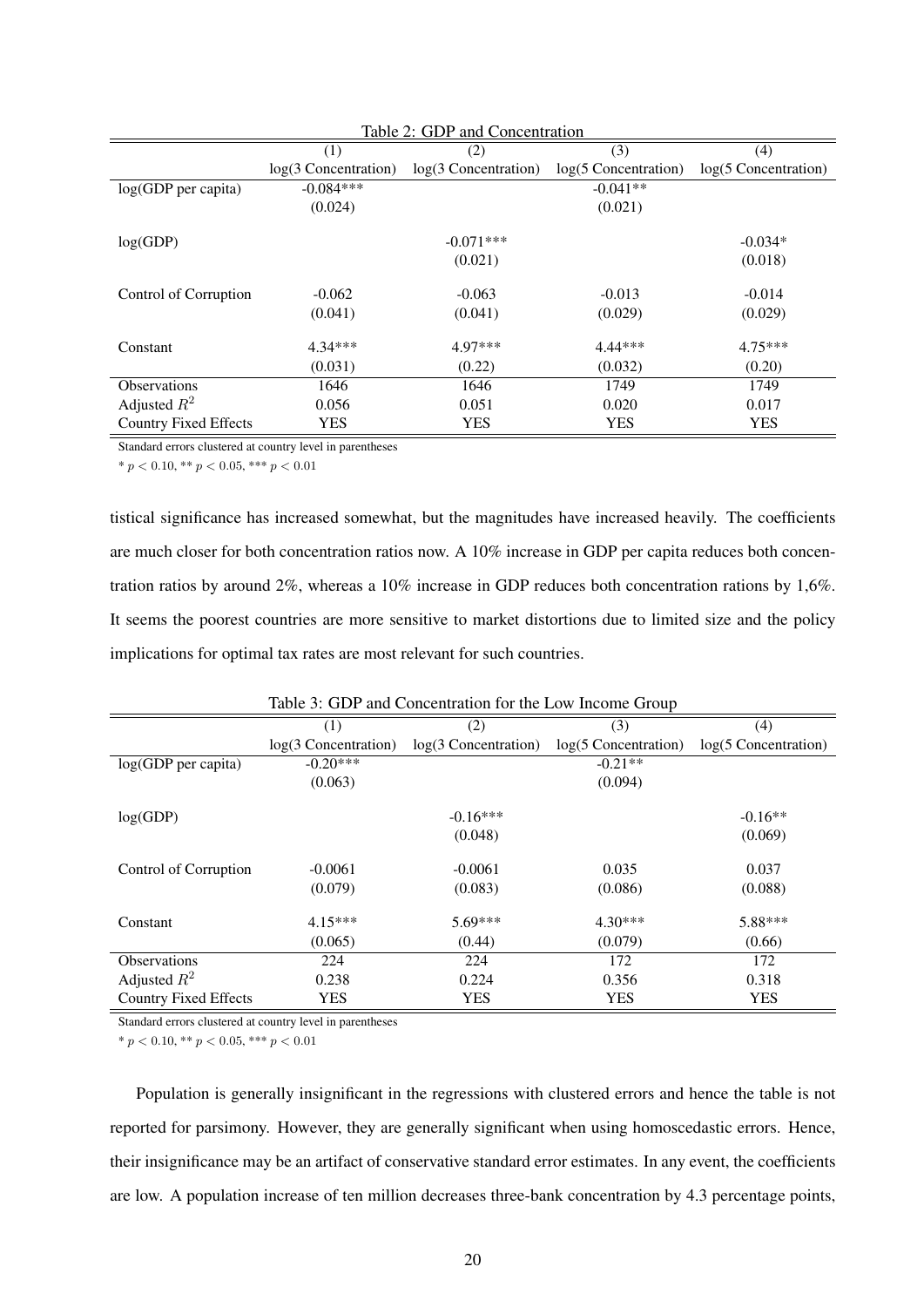| Table 2: GDP and Concentration |                        |                      |                        |                        |
|--------------------------------|------------------------|----------------------|------------------------|------------------------|
|                                | (1)                    | (2)                  | (3)                    | (4)                    |
|                                | $log(3$ Concentration) | log(3 Concentration) | $log(5$ Concentration) | $log(5$ Concentration) |
| $log(GDP$ per capita)          | $-0.084***$            |                      | $-0.041**$             |                        |
|                                | (0.024)                |                      | (0.021)                |                        |
|                                |                        |                      |                        |                        |
| log(GDP)                       |                        | $-0.071***$          |                        | $-0.034*$              |
|                                |                        | (0.021)              |                        | (0.018)                |
|                                |                        |                      |                        |                        |
| Control of Corruption          | $-0.062$               | $-0.063$             | $-0.013$               | $-0.014$               |
|                                | (0.041)                | (0.041)              | (0.029)                | (0.029)                |
| Constant                       | $4.34***$              | 4.97***              | 4.44***                | $4.75***$              |
|                                | (0.031)                | (0.22)               | (0.032)                | (0.20)                 |
| Observations                   | 1646                   | 1646                 | 1749                   | 1749                   |
| Adjusted $R^2$                 | 0.056                  | 0.051                | 0.020                  | 0.017                  |
| <b>Country Fixed Effects</b>   | YES                    | YES                  | <b>YES</b>             | <b>YES</b>             |

Standard errors clustered at country level in parentheses

\*  $p < 0.10$ , \*\*  $p < 0.05$ , \*\*\*  $p < 0.01$ 

tistical significance has increased somewhat, but the magnitudes have increased heavily. The coefficients are much closer for both concentration ratios now. A 10% increase in GDP per capita reduces both concentration ratios by around 2%, whereas a 10% increase in GDP reduces both concentration rations by 1,6%. It seems the poorest countries are more sensitive to market distortions due to limited size and the policy implications for optimal tax rates are most relevant for such countries.

| Table 3: GDP and Concentration for the Low Income Group |                        |                        |                        |                      |
|---------------------------------------------------------|------------------------|------------------------|------------------------|----------------------|
|                                                         | (1)                    | (2)                    | (3)                    | (4)                  |
|                                                         | $log(3$ Concentration) | $log(3$ Concentration) | $log(5$ Concentration) | log(5 Concentration) |
| $log(GDP$ per capita)                                   | $-0.20***$             |                        | $-0.21**$              |                      |
|                                                         | (0.063)                |                        | (0.094)                |                      |
| log(GDP)                                                |                        | $-0.16***$             |                        | $-0.16**$            |
|                                                         |                        | (0.048)                |                        | (0.069)              |
| Control of Corruption                                   | $-0.0061$              | $-0.0061$              | 0.035                  | 0.037                |
|                                                         | (0.079)                | (0.083)                | (0.086)                | (0.088)              |
| Constant                                                | $4.15***$              | $5.69***$              | $4.30***$              | 5.88***              |
|                                                         | (0.065)                | (0.44)                 | (0.079)                | (0.66)               |
| <b>Observations</b>                                     | 224                    | 224                    | 172                    | 172                  |
| Adjusted $R^2$                                          | 0.238                  | 0.224                  | 0.356                  | 0.318                |
| <b>Country Fixed Effects</b>                            | <b>YES</b>             | <b>YES</b>             | <b>YES</b>             | <b>YES</b>           |

Standard errors clustered at country level in parentheses

\*  $p < 0.10$ , \*\*  $p < 0.05$ , \*\*\*  $p < 0.01$ 

Population is generally insignificant in the regressions with clustered errors and hence the table is not reported for parsimony. However, they are generally significant when using homoscedastic errors. Hence, their insignificance may be an artifact of conservative standard error estimates. In any event, the coefficients are low. A population increase of ten million decreases three-bank concentration by 4.3 percentage points,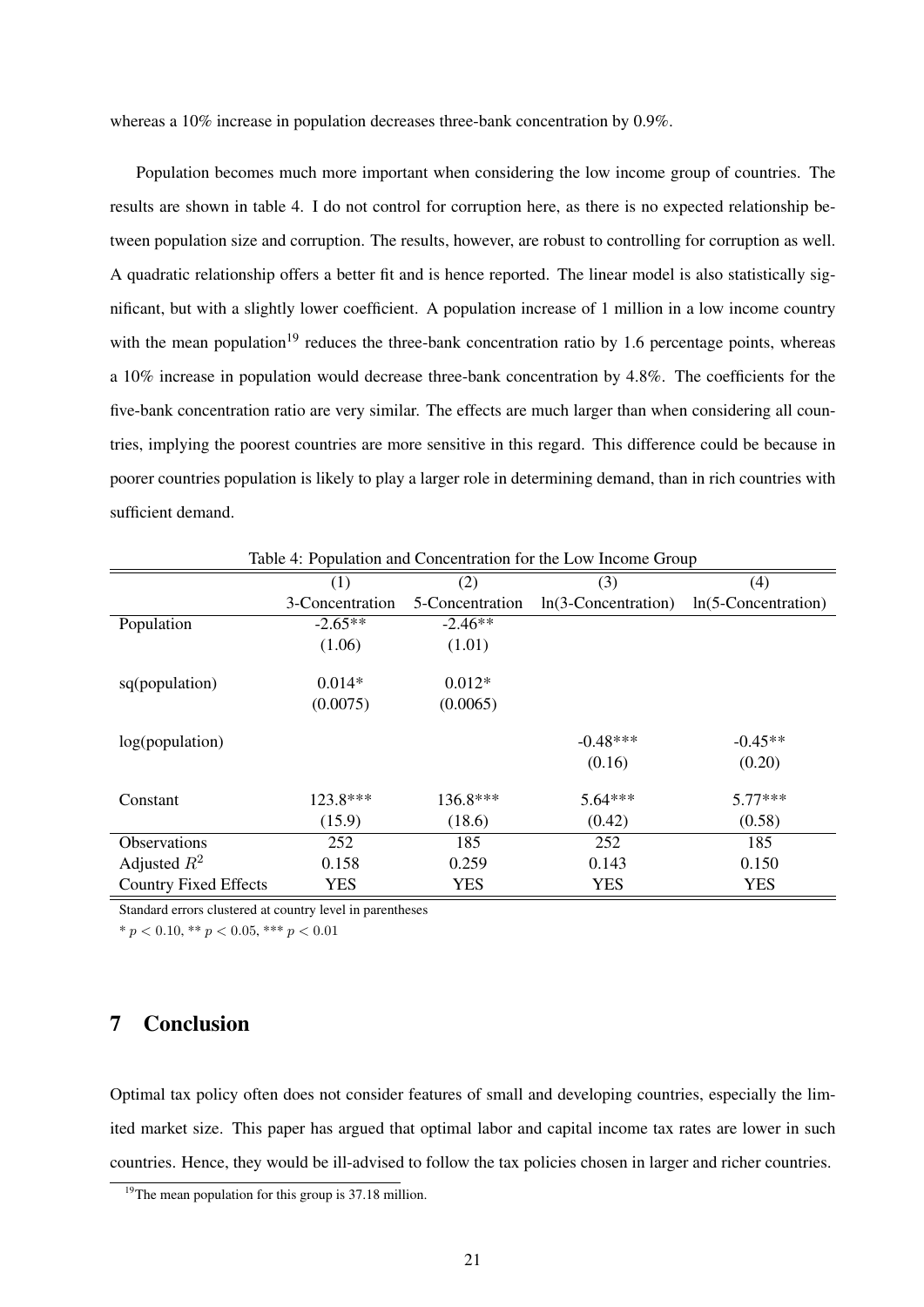whereas a 10% increase in population decreases three-bank concentration by 0.9%.

Population becomes much more important when considering the low income group of countries. The results are shown in table 4. I do not control for corruption here, as there is no expected relationship between population size and corruption. The results, however, are robust to controlling for corruption as well. A quadratic relationship offers a better fit and is hence reported. The linear model is also statistically significant, but with a slightly lower coefficient. A population increase of 1 million in a low income country with the mean population<sup>19</sup> reduces the three-bank concentration ratio by 1.6 percentage points, whereas a 10% increase in population would decrease three-bank concentration by 4.8%. The coefficients for the five-bank concentration ratio are very similar. The effects are much larger than when considering all countries, implying the poorest countries are more sensitive in this regard. This difference could be because in poorer countries population is likely to play a larger role in determining demand, than in rich countries with sufficient demand.

| Table 4: Population and Concentration for the Low Income Group |                 |                 |                        |                        |
|----------------------------------------------------------------|-----------------|-----------------|------------------------|------------------------|
|                                                                | (1)             | (2)             | (3)                    | (4)                    |
|                                                                | 3-Concentration | 5-Concentration | $ln(3$ -Concentration) | $ln(5$ -Concentration) |
| Population                                                     | $-2.65**$       | $-2.46**$       |                        |                        |
|                                                                | (1.06)          | (1.01)          |                        |                        |
|                                                                |                 |                 |                        |                        |
| sq(population)                                                 | $0.014*$        | $0.012*$        |                        |                        |
|                                                                | (0.0075)        | (0.0065)        |                        |                        |
| log(population)                                                |                 |                 | $-0.48***$             | $-0.45**$              |
|                                                                |                 |                 |                        |                        |
|                                                                |                 |                 | (0.16)                 | (0.20)                 |
| Constant                                                       | $123.8***$      | 136.8***        | $5.64***$              | $5.77***$              |
|                                                                | (15.9)          | (18.6)          | (0.42)                 | (0.58)                 |
| Observations                                                   | 252             | 185             | 252                    | 185                    |
| Adjusted $R^2$                                                 | 0.158           | 0.259           | 0.143                  | 0.150                  |
| <b>Country Fixed Effects</b>                                   | <b>YES</b>      | <b>YES</b>      | <b>YES</b>             | <b>YES</b>             |

Standard errors clustered at country level in parentheses

\*  $p < 0.10$ , \*\*  $p < 0.05$ , \*\*\*  $p < 0.01$ 

## 7 Conclusion

Optimal tax policy often does not consider features of small and developing countries, especially the limited market size. This paper has argued that optimal labor and capital income tax rates are lower in such countries. Hence, they would be ill-advised to follow the tax policies chosen in larger and richer countries.

 $19$ The mean population for this group is 37.18 million.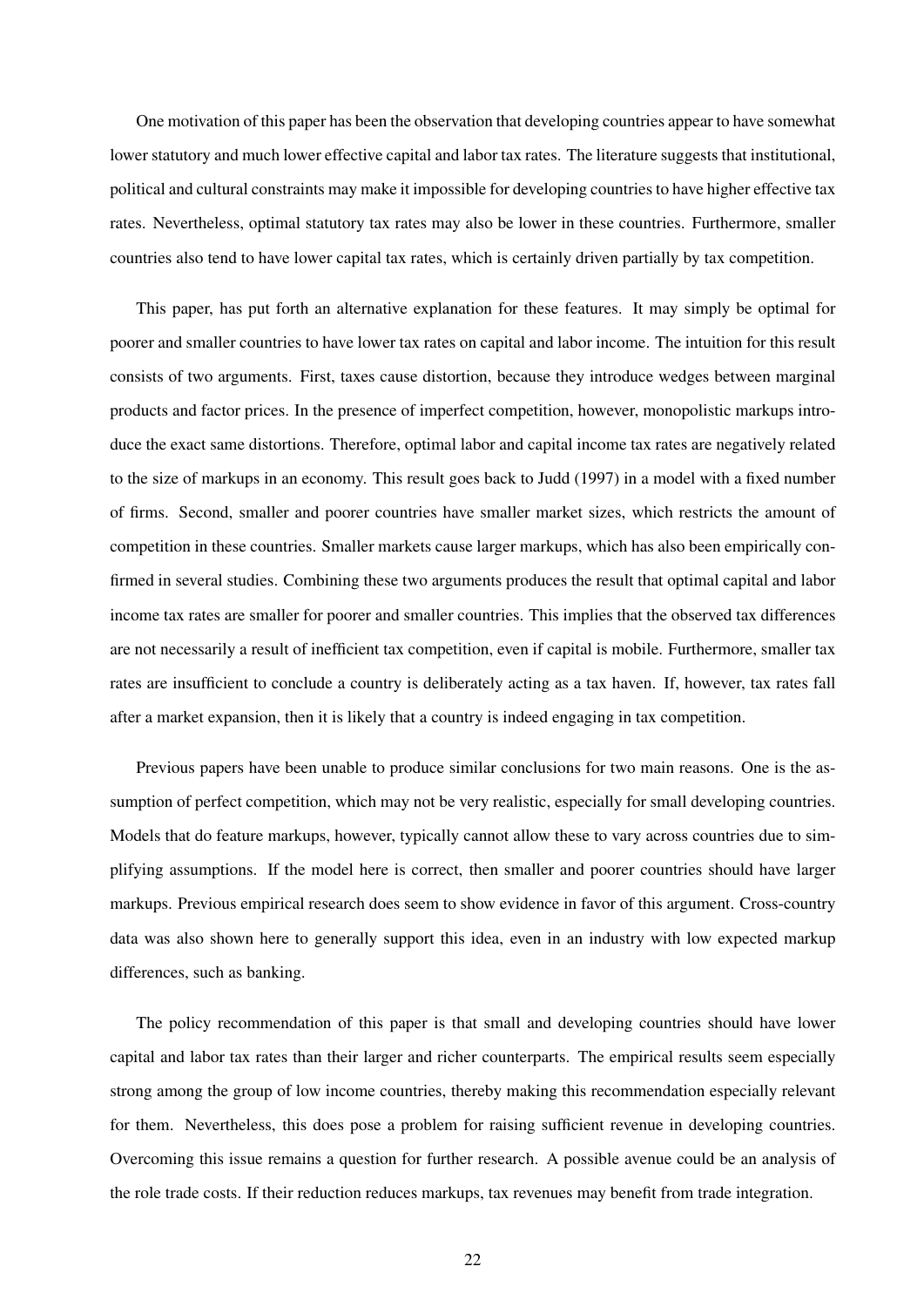One motivation of this paper has been the observation that developing countries appear to have somewhat lower statutory and much lower effective capital and labor tax rates. The literature suggests that institutional, political and cultural constraints may make it impossible for developing countries to have higher effective tax rates. Nevertheless, optimal statutory tax rates may also be lower in these countries. Furthermore, smaller countries also tend to have lower capital tax rates, which is certainly driven partially by tax competition.

This paper, has put forth an alternative explanation for these features. It may simply be optimal for poorer and smaller countries to have lower tax rates on capital and labor income. The intuition for this result consists of two arguments. First, taxes cause distortion, because they introduce wedges between marginal products and factor prices. In the presence of imperfect competition, however, monopolistic markups introduce the exact same distortions. Therefore, optimal labor and capital income tax rates are negatively related to the size of markups in an economy. This result goes back to Judd (1997) in a model with a fixed number of firms. Second, smaller and poorer countries have smaller market sizes, which restricts the amount of competition in these countries. Smaller markets cause larger markups, which has also been empirically confirmed in several studies. Combining these two arguments produces the result that optimal capital and labor income tax rates are smaller for poorer and smaller countries. This implies that the observed tax differences are not necessarily a result of inefficient tax competition, even if capital is mobile. Furthermore, smaller tax rates are insufficient to conclude a country is deliberately acting as a tax haven. If, however, tax rates fall after a market expansion, then it is likely that a country is indeed engaging in tax competition.

Previous papers have been unable to produce similar conclusions for two main reasons. One is the assumption of perfect competition, which may not be very realistic, especially for small developing countries. Models that do feature markups, however, typically cannot allow these to vary across countries due to simplifying assumptions. If the model here is correct, then smaller and poorer countries should have larger markups. Previous empirical research does seem to show evidence in favor of this argument. Cross-country data was also shown here to generally support this idea, even in an industry with low expected markup differences, such as banking.

The policy recommendation of this paper is that small and developing countries should have lower capital and labor tax rates than their larger and richer counterparts. The empirical results seem especially strong among the group of low income countries, thereby making this recommendation especially relevant for them. Nevertheless, this does pose a problem for raising sufficient revenue in developing countries. Overcoming this issue remains a question for further research. A possible avenue could be an analysis of the role trade costs. If their reduction reduces markups, tax revenues may benefit from trade integration.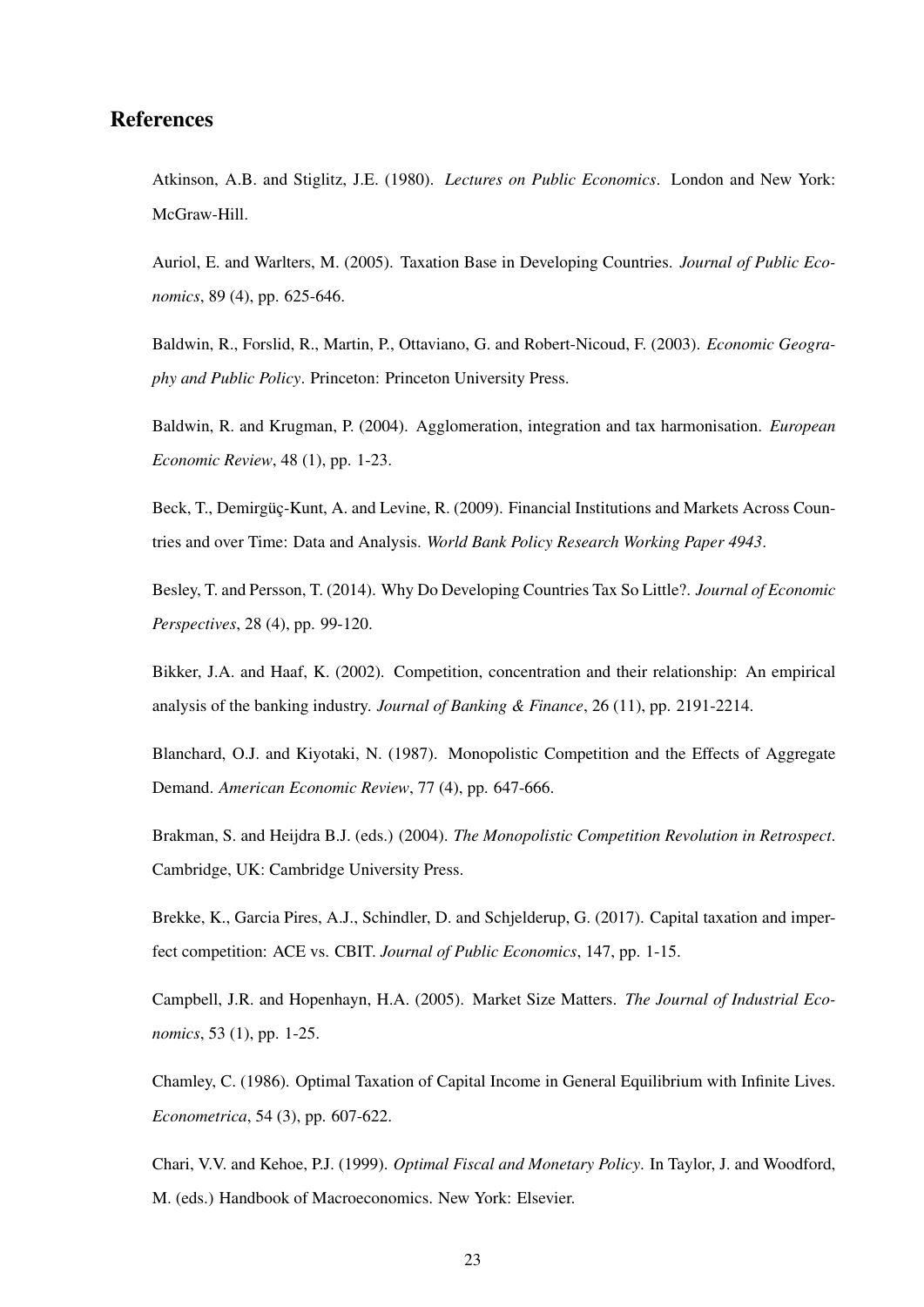#### References

Atkinson, A.B. and Stiglitz, J.E. (1980). *Lectures on Public Economics*. London and New York: McGraw-Hill.

Auriol, E. and Warlters, M. (2005). Taxation Base in Developing Countries. *Journal of Public Economics*, 89 (4), pp. 625-646.

Baldwin, R., Forslid, R., Martin, P., Ottaviano, G. and Robert-Nicoud, F. (2003). *Economic Geography and Public Policy*. Princeton: Princeton University Press.

Baldwin, R. and Krugman, P. (2004). Agglomeration, integration and tax harmonisation. *European Economic Review*, 48 (1), pp. 1-23.

Beck, T., Demirgüç-Kunt, A. and Levine, R. (2009). Financial Institutions and Markets Across Countries and over Time: Data and Analysis. *World Bank Policy Research Working Paper 4943*.

Besley, T. and Persson, T. (2014). Why Do Developing Countries Tax So Little?. *Journal of Economic Perspectives*, 28 (4), pp. 99-120.

Bikker, J.A. and Haaf, K. (2002). Competition, concentration and their relationship: An empirical analysis of the banking industry. *Journal of Banking & Finance*, 26 (11), pp. 2191-2214.

Blanchard, O.J. and Kiyotaki, N. (1987). Monopolistic Competition and the Effects of Aggregate Demand. *American Economic Review*, 77 (4), pp. 647-666.

Brakman, S. and Heijdra B.J. (eds.) (2004). *The Monopolistic Competition Revolution in Retrospect*. Cambridge, UK: Cambridge University Press.

Brekke, K., Garcia Pires, A.J., Schindler, D. and Schjelderup, G. (2017). Capital taxation and imperfect competition: ACE vs. CBIT. *Journal of Public Economics*, 147, pp. 1-15.

Campbell, J.R. and Hopenhayn, H.A. (2005). Market Size Matters. *The Journal of Industrial Economics*, 53 (1), pp. 1-25.

Chamley, C. (1986). Optimal Taxation of Capital Income in General Equilibrium with Infinite Lives. *Econometrica*, 54 (3), pp. 607-622.

Chari, V.V. and Kehoe, P.J. (1999). *Optimal Fiscal and Monetary Policy*. In Taylor, J. and Woodford, M. (eds.) Handbook of Macroeconomics. New York: Elsevier.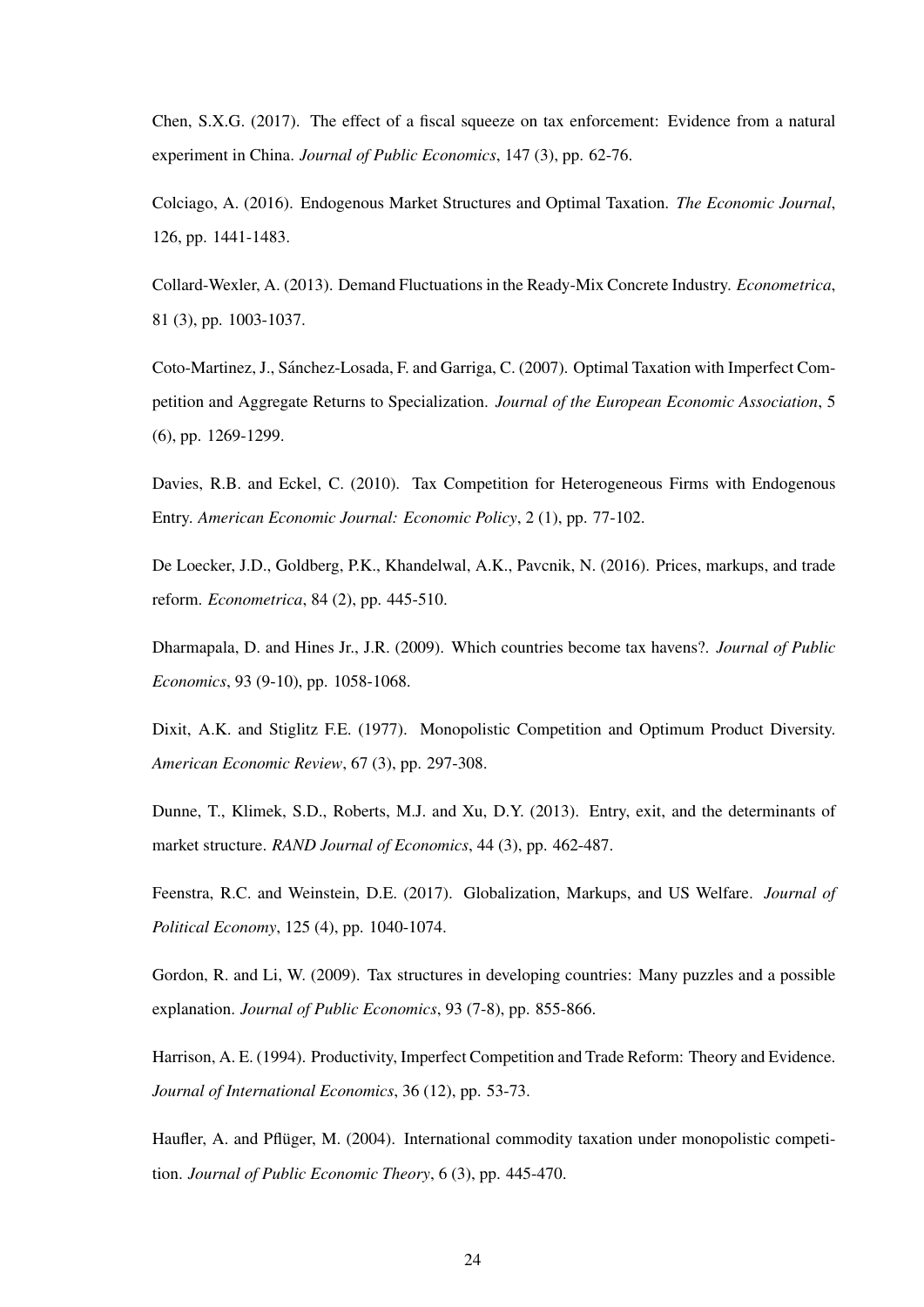Chen, S.X.G. (2017). The effect of a fiscal squeeze on tax enforcement: Evidence from a natural experiment in China. *Journal of Public Economics*, 147 (3), pp. 62-76.

Colciago, A. (2016). Endogenous Market Structures and Optimal Taxation. *The Economic Journal*, 126, pp. 1441-1483.

Collard-Wexler, A. (2013). Demand Fluctuations in the Ready-Mix Concrete Industry. *Econometrica*, 81 (3), pp. 1003-1037.

Coto-Martinez, J., Sanchez-Losada, F. and Garriga, C. (2007). Optimal Taxation with Imperfect Com- ´ petition and Aggregate Returns to Specialization. *Journal of the European Economic Association*, 5 (6), pp. 1269-1299.

Davies, R.B. and Eckel, C. (2010). Tax Competition for Heterogeneous Firms with Endogenous Entry. *American Economic Journal: Economic Policy*, 2 (1), pp. 77-102.

De Loecker, J.D., Goldberg, P.K., Khandelwal, A.K., Pavcnik, N. (2016). Prices, markups, and trade reform. *Econometrica*, 84 (2), pp. 445-510.

Dharmapala, D. and Hines Jr., J.R. (2009). Which countries become tax havens?. *Journal of Public Economics*, 93 (9-10), pp. 1058-1068.

Dixit, A.K. and Stiglitz F.E. (1977). Monopolistic Competition and Optimum Product Diversity. *American Economic Review*, 67 (3), pp. 297-308.

Dunne, T., Klimek, S.D., Roberts, M.J. and Xu, D.Y. (2013). Entry, exit, and the determinants of market structure. *RAND Journal of Economics*, 44 (3), pp. 462-487.

Feenstra, R.C. and Weinstein, D.E. (2017). Globalization, Markups, and US Welfare. *Journal of Political Economy*, 125 (4), pp. 1040-1074.

Gordon, R. and Li, W. (2009). Tax structures in developing countries: Many puzzles and a possible explanation. *Journal of Public Economics*, 93 (7-8), pp. 855-866.

Harrison, A. E. (1994). Productivity, Imperfect Competition and Trade Reform: Theory and Evidence. *Journal of International Economics*, 36 (12), pp. 53-73.

Haufler, A. and Pflüger, M. (2004). International commodity taxation under monopolistic competition. *Journal of Public Economic Theory*, 6 (3), pp. 445-470.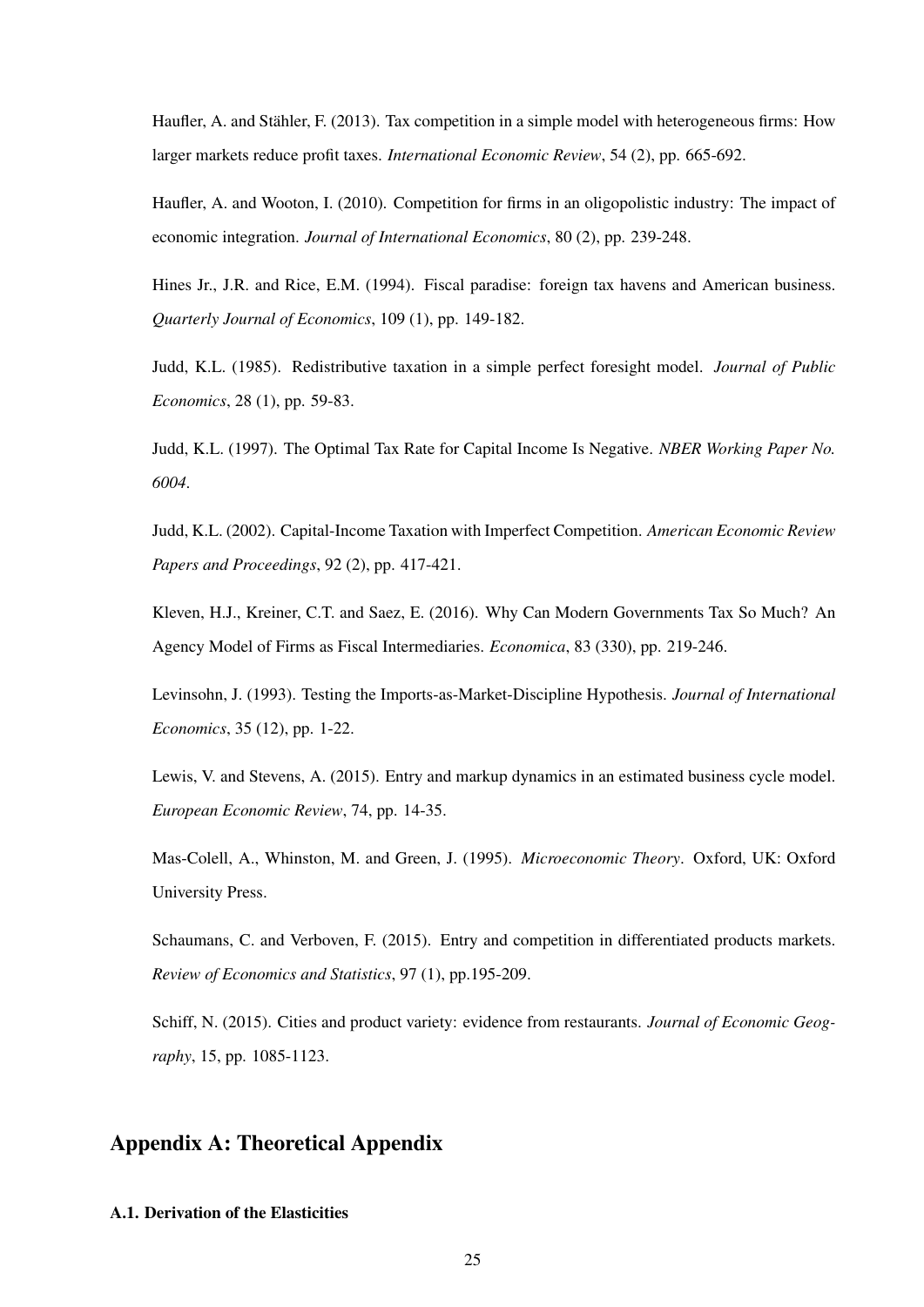Haufler, A. and Stähler, F. (2013). Tax competition in a simple model with heterogeneous firms: How larger markets reduce profit taxes. *International Economic Review*, 54 (2), pp. 665-692.

Haufler, A. and Wooton, I. (2010). Competition for firms in an oligopolistic industry: The impact of economic integration. *Journal of International Economics*, 80 (2), pp. 239-248.

Hines Jr., J.R. and Rice, E.M. (1994). Fiscal paradise: foreign tax havens and American business. *Quarterly Journal of Economics*, 109 (1), pp. 149-182.

Judd, K.L. (1985). Redistributive taxation in a simple perfect foresight model. *Journal of Public Economics*, 28 (1), pp. 59-83.

Judd, K.L. (1997). The Optimal Tax Rate for Capital Income Is Negative. *NBER Working Paper No. 6004*.

Judd, K.L. (2002). Capital-Income Taxation with Imperfect Competition. *American Economic Review Papers and Proceedings*, 92 (2), pp. 417-421.

Kleven, H.J., Kreiner, C.T. and Saez, E. (2016). Why Can Modern Governments Tax So Much? An Agency Model of Firms as Fiscal Intermediaries. *Economica*, 83 (330), pp. 219-246.

Levinsohn, J. (1993). Testing the Imports-as-Market-Discipline Hypothesis. *Journal of International Economics*, 35 (12), pp. 1-22.

Lewis, V. and Stevens, A. (2015). Entry and markup dynamics in an estimated business cycle model. *European Economic Review*, 74, pp. 14-35.

Mas-Colell, A., Whinston, M. and Green, J. (1995). *Microeconomic Theory*. Oxford, UK: Oxford University Press.

Schaumans, C. and Verboven, F. (2015). Entry and competition in differentiated products markets. *Review of Economics and Statistics*, 97 (1), pp.195-209.

Schiff, N. (2015). Cities and product variety: evidence from restaurants. *Journal of Economic Geography*, 15, pp. 1085-1123.

#### Appendix A: Theoretical Appendix

#### A.1. Derivation of the Elasticities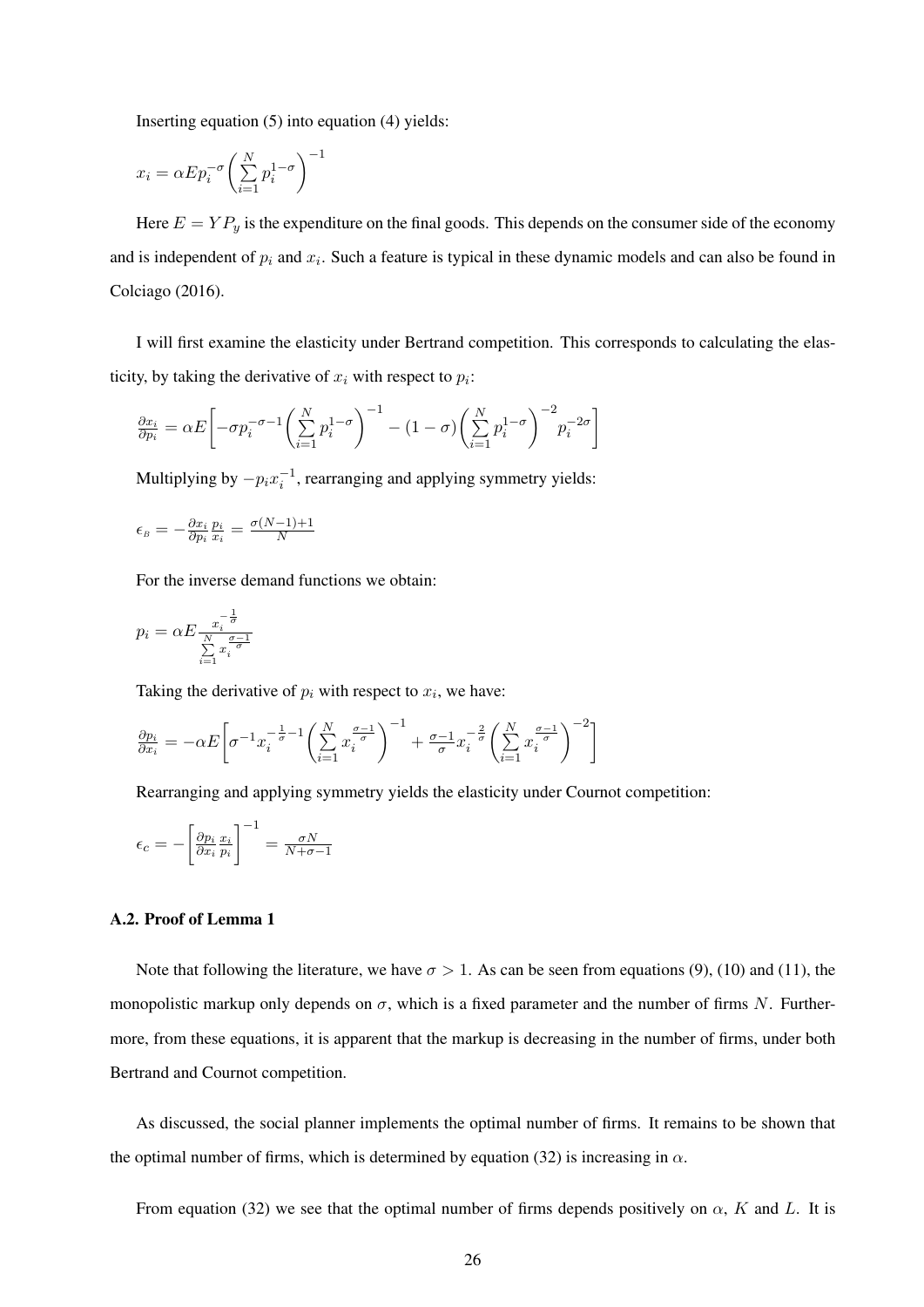Inserting equation (5) into equation (4) yields:

−<sup>1</sup>

$$
x_i = \alpha E p_i^{-\sigma} \left( \sum_{i=1}^N p_i^{1-\sigma} \right)^{-1}
$$

Here  $E = Y P_y$  is the expenditure on the final goods. This depends on the consumer side of the economy and is independent of  $p_i$  and  $x_i$ . Such a feature is typical in these dynamic models and can also be found in Colciago (2016).

I will first examine the elasticity under Bertrand competition. This corresponds to calculating the elasticity, by taking the derivative of  $x_i$  with respect to  $p_i$ :

$$
\frac{\partial x_i}{\partial p_i} = \alpha E \left[ -\sigma p_i^{-\sigma-1} \left( \sum_{i=1}^N p_i^{1-\sigma} \right)^{-1} - (1-\sigma) \left( \sum_{i=1}^N p_i^{1-\sigma} \right)^{-2} p_i^{-2\sigma} \right]
$$

Multiplying by  $-p_i x_i^{-1}$ , rearranging and applying symmetry yields:

$$
\epsilon_{\scriptscriptstyle B} = -\frac{\partial x_i}{\partial p_i} \frac{p_i}{x_i} = \frac{\sigma(N-1)+1}{N}
$$

For the inverse demand functions we obtain:

$$
p_i = \alpha E \frac{x_i^{-\frac{1}{\sigma}}}{\sum\limits_{i=1}^N x_i^{-\frac{\sigma-1}{\sigma}}}
$$

Taking the derivative of  $p_i$  with respect to  $x_i$ , we have:

$$
\frac{\partial p_i}{\partial x_i} = -\alpha E \bigg[ \sigma^{-1} x_i^{-\frac{1}{\sigma}-1} \bigg( \sum_{i=1}^N x_i^{\frac{\sigma-1}{\sigma}} \bigg)^{-1} + \frac{\sigma-1}{\sigma} x_i^{-\frac{2}{\sigma}} \bigg( \sum_{i=1}^N x_i^{\frac{\sigma-1}{\sigma}} \bigg)^{-2} \bigg]
$$

Rearranging and applying symmetry yields the elasticity under Cournot competition:

$$
\epsilon_c = -\left[\frac{\partial p_i}{\partial x_i} \frac{x_i}{p_i}\right]^{-1} = \frac{\sigma N}{N + \sigma - 1}
$$

#### A.2. Proof of Lemma 1

Note that following the literature, we have  $\sigma > 1$ . As can be seen from equations (9), (10) and (11), the monopolistic markup only depends on  $\sigma$ , which is a fixed parameter and the number of firms N. Furthermore, from these equations, it is apparent that the markup is decreasing in the number of firms, under both Bertrand and Cournot competition.

As discussed, the social planner implements the optimal number of firms. It remains to be shown that the optimal number of firms, which is determined by equation (32) is increasing in  $\alpha$ .

From equation (32) we see that the optimal number of firms depends positively on  $\alpha$ , K and L. It is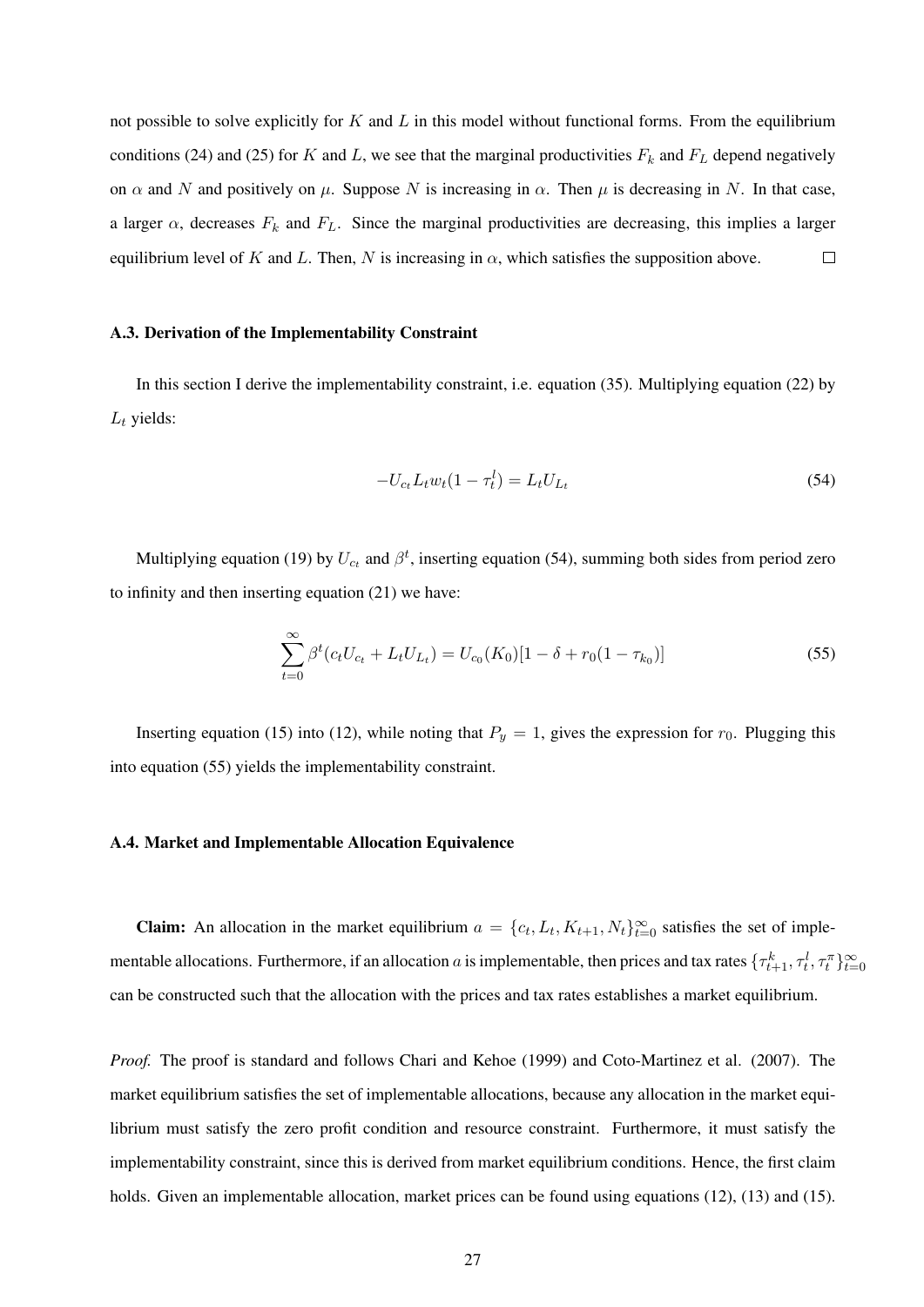not possible to solve explicitly for  $K$  and  $L$  in this model without functional forms. From the equilibrium conditions (24) and (25) for K and L, we see that the marginal productivities  $F_k$  and  $F_L$  depend negatively on  $\alpha$  and N and positively on  $\mu$ . Suppose N is increasing in  $\alpha$ . Then  $\mu$  is decreasing in N. In that case, a larger  $\alpha$ , decreases  $F_k$  and  $F_L$ . Since the marginal productivities are decreasing, this implies a larger equilibrium level of K and L. Then, N is increasing in  $\alpha$ , which satisfies the supposition above.  $\Box$ 

#### A.3. Derivation of the Implementability Constraint

In this section I derive the implementability constraint, i.e. equation (35). Multiplying equation (22) by  $L_t$  yields:

$$
-U_{c_t}L_t w_t (1 - \tau_t^l) = L_t U_{L_t}
$$
\n(54)

Multiplying equation (19) by  $U_{c_t}$  and  $\beta^t$ , inserting equation (54), summing both sides from period zero to infinity and then inserting equation (21) we have:

$$
\sum_{t=0}^{\infty} \beta^t (c_t U_{c_t} + L_t U_{L_t}) = U_{c_0}(K_0)[1 - \delta + r_0(1 - \tau_{k_0})]
$$
\n(55)

Inserting equation (15) into (12), while noting that  $P_y = 1$ , gives the expression for  $r_0$ . Plugging this into equation (55) yields the implementability constraint.

#### A.4. Market and Implementable Allocation Equivalence

**Claim:** An allocation in the market equilibrium  $a = \{c_t, L_t, K_{t+1}, N_t\}_{t=0}^{\infty}$  satisfies the set of implementable allocations. Furthermore, if an allocation a is implementable, then prices and tax rates  $\{\tau_{t+1}^k, \tau_t^l, \tau_t^{\pi}\}_{t=0}^{\infty}$ can be constructed such that the allocation with the prices and tax rates establishes a market equilibrium.

*Proof.* The proof is standard and follows Chari and Kehoe (1999) and Coto-Martinez et al. (2007). The market equilibrium satisfies the set of implementable allocations, because any allocation in the market equilibrium must satisfy the zero profit condition and resource constraint. Furthermore, it must satisfy the implementability constraint, since this is derived from market equilibrium conditions. Hence, the first claim holds. Given an implementable allocation, market prices can be found using equations (12), (13) and (15).